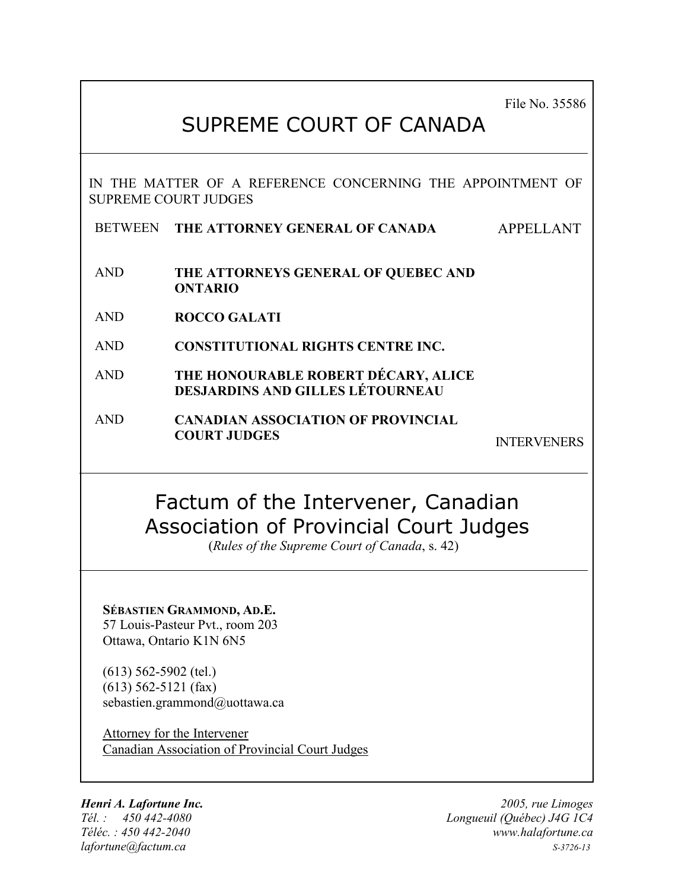File No. 35586

# SUPREME COURT OF CANADA

IN THE MATTER OF A REFERENCE CONCERNING THE APPOINTMENT OF SUPREME COURT JUDGES

**BETWEEN THE ATTORNEY GENERAL OF CANADA** APPELLANT

- AND **THE ATTORNEYS GENERAL OF QUEBEC AND ONTARIO**
- AND **ROCCO GALATI**
- AND **CONSTITUTIONAL RIGHTS CENTRE INC.**
- AND **THE HONOURABLE ROBERT DÉCARY, ALICE DESJARDINS AND GILLES LÉTOURNEAU**
- AND **CANADIAN ASSOCIATION OF PROVINCIAL COURT JUDGES** INTERVENERS

# Factum of the Intervener, Canadian Association of Provincial Court Judges

(*Rules of the Supreme Court of Canada*, s. 42)

**SÉBASTIEN GRAMMOND, AD.E.** 57 Louis-Pasteur Pvt., room 203

Ottawa, Ontario K1N 6N5

(613) 562-5902 (tel.) (613) 562-5121 (fax) sebastien.grammond@uottawa.ca

Attorney for the Intervener Canadian Association of Provincial Court Judges

*Henri A. Lafortune Inc. 2005, rue Limoges*

*Tél. : 450 442-4080 Longueuil (Québec) J4G 1C4 Téléc. : 450 442-2040 www.halafortune.ca lafortune@factum.ca S-3726-13*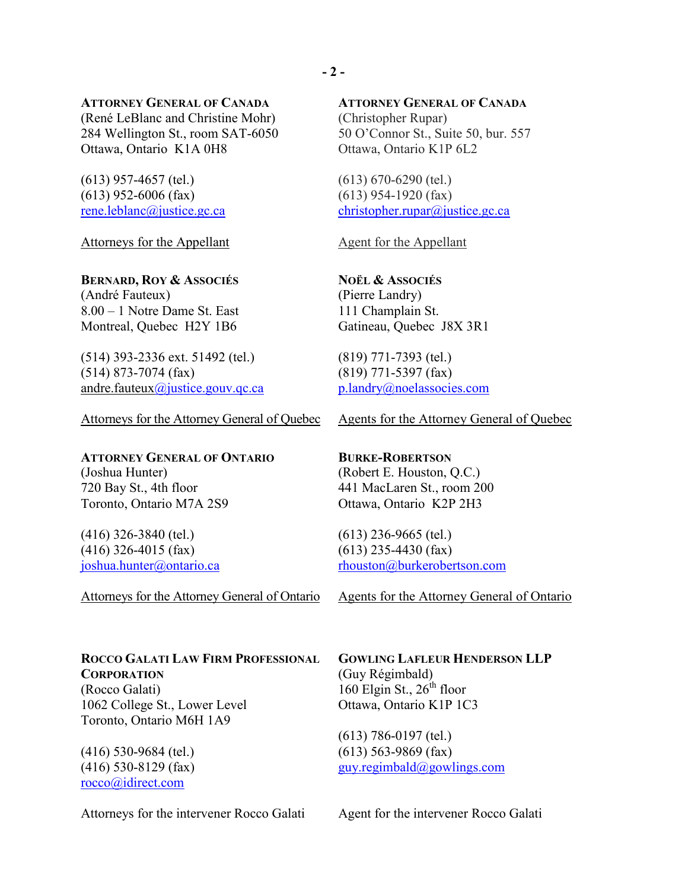#### **ATTORNEY GENERAL OF CANADA**

(René LeBlanc and Christine Mohr) 284 Wellington St., room SAT-6050 Ottawa, Ontario K1A 0H8

(613) 957-4657 (tel.) (613) 952-6006 (fax) [rene.leblanc@justice.gc.ca](mailto:rene.leblanc@justice.gc.ca)

Attorneys for the Appellant

#### **BERNARD, ROY & ASSOCIÉS**

(André Fauteux) 8.00 – 1 Notre Dame St. East Montreal, Quebec H2Y 1B6

(514) 393-2336 ext. 51492 (tel.) (514) 873-7074 (fax) andre.fauteux $\omega$ justice.gouv.qc.ca

Attorneys for the Attorney General of Quebec

### **ATTORNEY GENERAL OF ONTARIO**

(Joshua Hunter) 720 Bay St., 4th floor Toronto, Ontario M7A 2S9

(416) 326-3840 (tel.) (416) 326-4015 (fax) [joshua.hunter@ontario.ca](mailto:joshua.hunter@ontario.ca)

Attorneys for the Attorney General of Ontario

### **ROCCO GALATI LAW FIRM PROFESSIONAL CORPORATION**

(Rocco Galati) 1062 College St., Lower Level Toronto, Ontario M6H 1A9

(416) 530-9684 (tel.) (416) 530-8129 (fax) [rocco@idirect.com](mailto:rocco@idirect.com)

Attorneys for the intervener Rocco Galati

#### **ATTORNEY GENERAL OF CANADA**

(Christopher Rupar) 50 O'Connor St., Suite 50, bur. 557 Ottawa, Ontario K1P 6L2

(613) 670-6290 (tel.) (613) 954-1920 (fax) [christopher.rupar@justice.gc.ca](mailto:christopher.rupar@justice.gc.ca)

Agent for the Appellant

### **NOËL & ASSOCIÉS** (Pierre Landry) 111 Champlain St. Gatineau, Quebec J8X 3R1

(819) 771-7393 (tel.) (819) 771-5397 (fax) [p.landry@noelassocies.com](mailto:p.landry@noelassocies.com)

Agents for the Attorney General of Quebec

### **BURKE-ROBERTSON** (Robert E. Houston, Q.C.) 441 MacLaren St., room 200 Ottawa, Ontario K2P 2H3

(613) 236-9665 (tel.) (613) 235-4430 (fax) [rhouston@burkerobertson.com](mailto:rhouston@burkerobertson.com)

Agents for the Attorney General of Ontario

**GOWLING LAFLEUR HENDERSON LLP** (Guy Régimbald) 160 Elgin St.,  $26<sup>th</sup>$  floor Ottawa, Ontario K1P 1C3

(613) 786-0197 (tel.) (613) 563-9869 (fax) [guy.regimbald@gowlings.com](mailto:guy.regimbald@gowlings.com)

Agent for the intervener Rocco Galati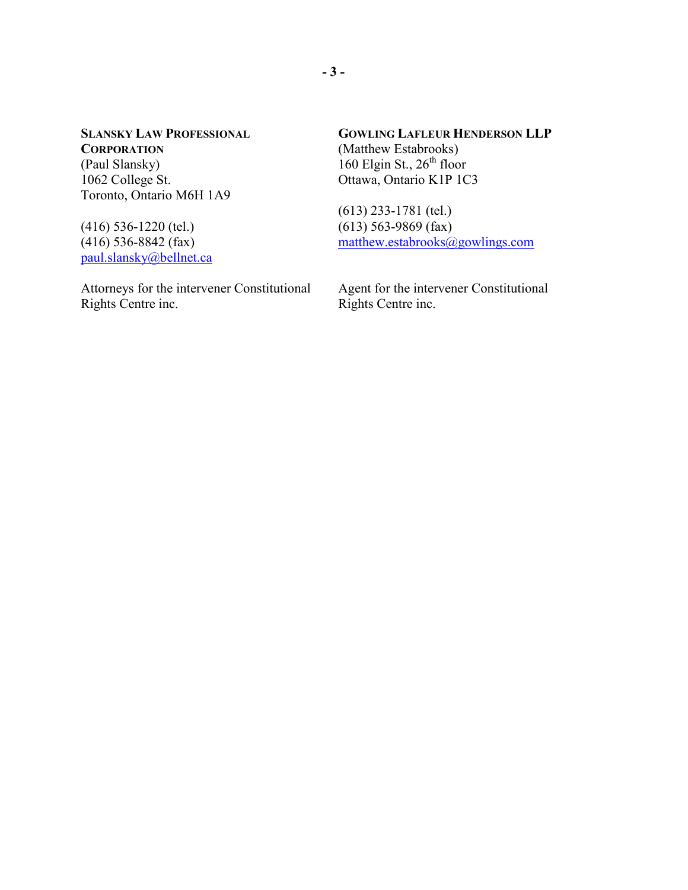**SLANSKY LAW PROFESSIONAL CORPORATION** (Paul Slansky) 1062 College St. Toronto, Ontario M6H 1A9

(416) 536-1220 (tel.) (416) 536-8842 (fax) [paul.slansky@bellnet.ca](mailto:paul.slansky@bellnet.ca)

Attorneys for the intervener Constitutional Rights Centre inc.

**GOWLING LAFLEUR HENDERSON LLP** (Matthew Estabrooks) 160 Elgin St.,  $26^{th}$  floor Ottawa, Ontario K1P 1C3

(613) 233-1781 (tel.)  $(613)$  563-9869 (fax) [matthew.estabrooks@gowlings.com](mailto:matthew.estabrooks@gowlings.com)

Agent for the intervener Constitutional Rights Centre inc.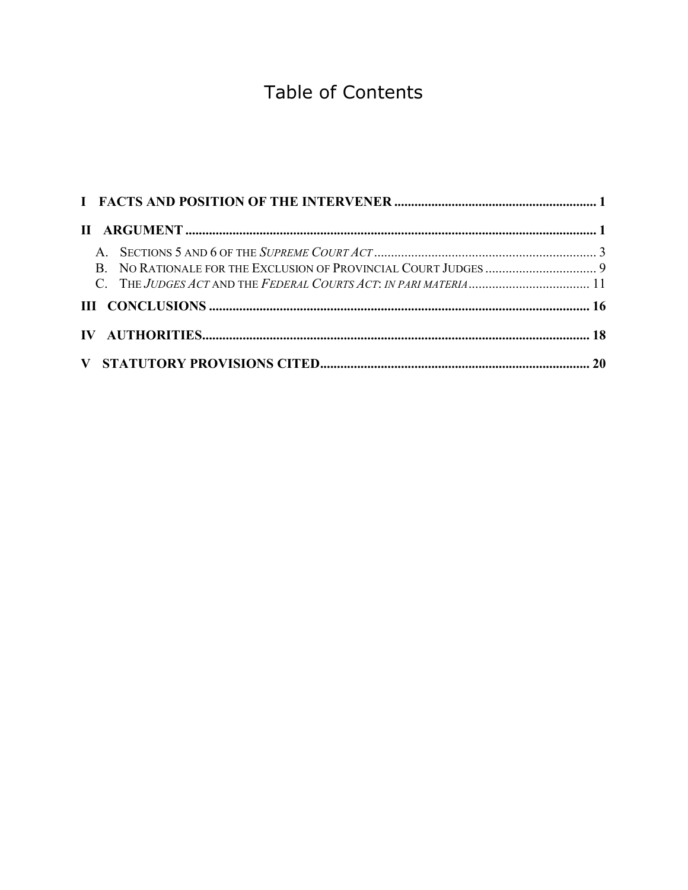# Table of Contents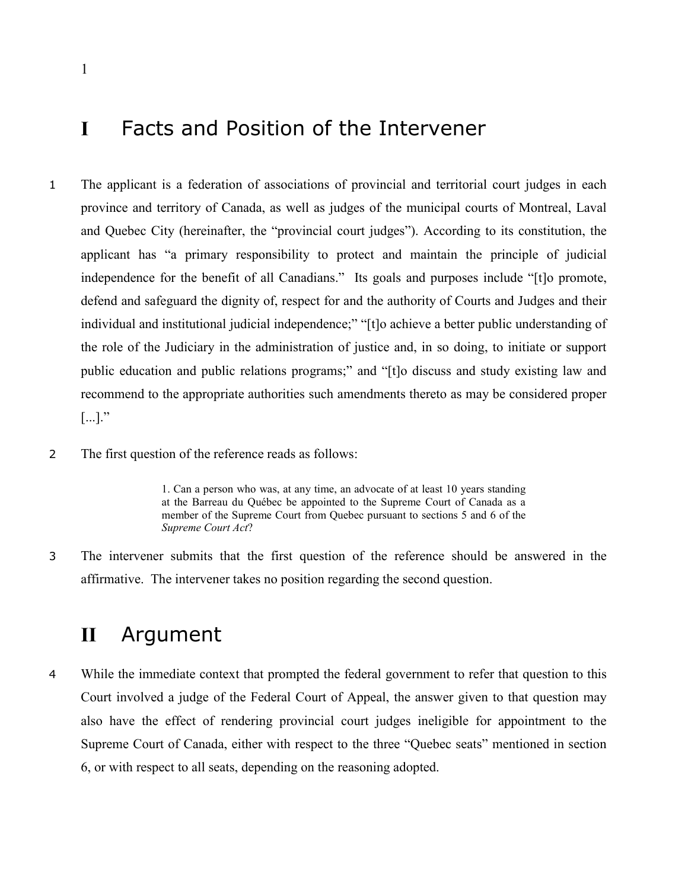## <span id="page-4-0"></span>**I** Facts and Position of the Intervener

- 1 The applicant is a federation of associations of provincial and territorial court judges in each province and territory of Canada, as well as judges of the municipal courts of Montreal, Laval and Quebec City (hereinafter, the "provincial court judges"). According to its constitution, the applicant has "a primary responsibility to protect and maintain the principle of judicial independence for the benefit of all Canadians." Its goals and purposes include "[t]o promote, defend and safeguard the dignity of, respect for and the authority of Courts and Judges and their individual and institutional judicial independence;" "[t]o achieve a better public understanding of the role of the Judiciary in the administration of justice and, in so doing, to initiate or support public education and public relations programs;" and "[t]o discuss and study existing law and recommend to the appropriate authorities such amendments thereto as may be considered proper  $\lbrack \ldots \rbrack$ ."
- 2 The first question of the reference reads as follows:

1. Can a person who was, at any time, an advocate of at least 10 years standing at the Barreau du Québec be appointed to the Supreme Court of Canada as a member of the Supreme Court from Quebec pursuant to sections 5 and 6 of the *Supreme Court Act*?

3 The intervener submits that the first question of the reference should be answered in the affirmative. The intervener takes no position regarding the second question.

## **II** Argument

4 While the immediate context that prompted the federal government to refer that question to this Court involved a judge of the Federal Court of Appeal, the answer given to that question may also have the effect of rendering provincial court judges ineligible for appointment to the Supreme Court of Canada, either with respect to the three "Quebec seats" mentioned in section 6, or with respect to all seats, depending on the reasoning adopted.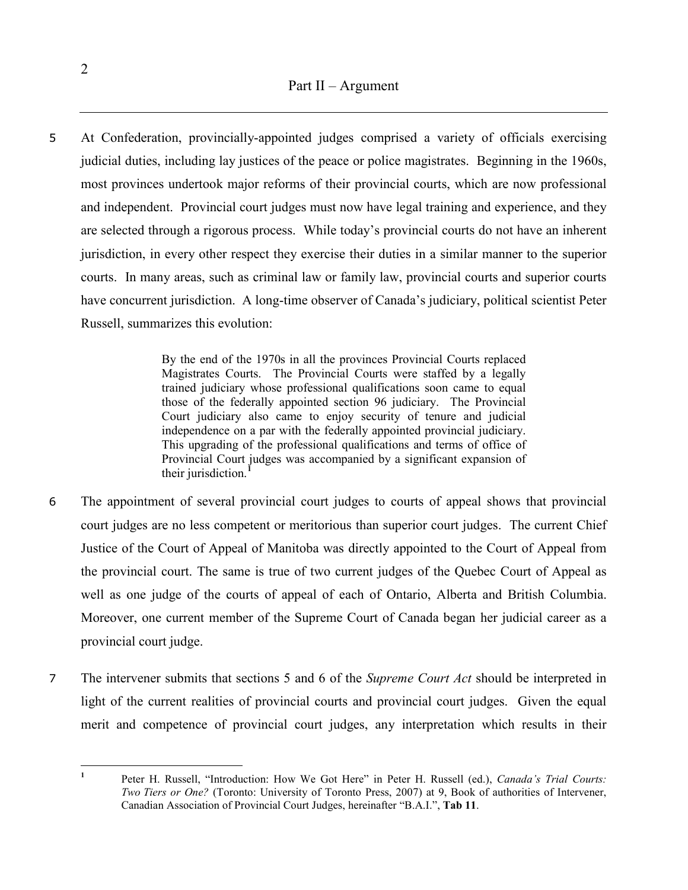5 At Confederation, provincially-appointed judges comprised a variety of officials exercising judicial duties, including lay justices of the peace or police magistrates. Beginning in the 1960s, most provinces undertook major reforms of their provincial courts, which are now professional and independent. Provincial court judges must now have legal training and experience, and they are selected through a rigorous process. While today's provincial courts do not have an inherent jurisdiction, in every other respect they exercise their duties in a similar manner to the superior courts. In many areas, such as criminal law or family law, provincial courts and superior courts have concurrent jurisdiction. A long-time observer of Canada's judiciary, political scientist Peter Russell, summarizes this evolution:

> By the end of the 1970s in all the provinces Provincial Courts replaced Magistrates Courts. The Provincial Courts were staffed by a legally trained judiciary whose professional qualifications soon came to equal those of the federally appointed section 96 judiciary. The Provincial Court judiciary also came to enjoy security of tenure and judicial independence on a par with the federally appointed provincial judiciary. This upgrading of the professional qualifications and terms of office of Provincial Court judges was accompanied by a significant expansion of their jurisdiction.**[1](#page-5-0)**

- 6 The appointment of several provincial court judges to courts of appeal shows that provincial court judges are no less competent or meritorious than superior court judges. The current Chief Justice of the Court of Appeal of Manitoba was directly appointed to the Court of Appeal from the provincial court. The same is true of two current judges of the Quebec Court of Appeal as well as one judge of the courts of appeal of each of Ontario, Alberta and British Columbia. Moreover, one current member of the Supreme Court of Canada began her judicial career as a provincial court judge.
- 7 The intervener submits that sections 5 and 6 of the *Supreme Court Act* should be interpreted in light of the current realities of provincial courts and provincial court judges. Given the equal merit and competence of provincial court judges, any interpretation which results in their

<span id="page-5-0"></span>**<sup>1</sup>** Peter H. Russell, "Introduction: How We Got Here" in Peter H. Russell (ed.), *Canada's Trial Courts: Two Tiers or One?* (Toronto: University of Toronto Press, 2007) at 9, Book of authorities of Intervener, Canadian Association of Provincial Court Judges, hereinafter "B.A.I.", **Tab 11**.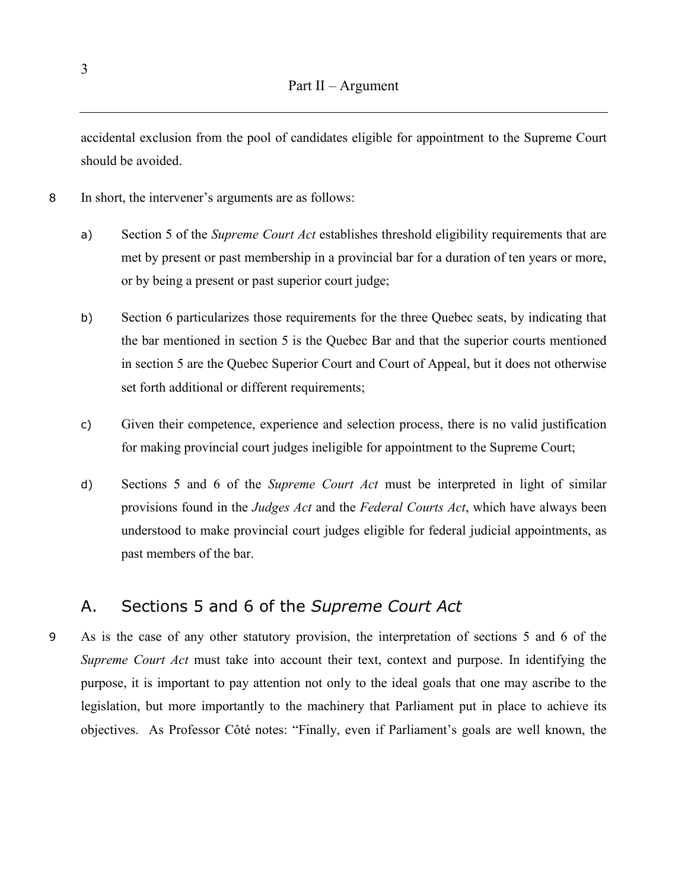<span id="page-6-0"></span>accidental exclusion from the pool of candidates eligible for appointment to the Supreme Court should be avoided.

- 8 In short, the intervener's arguments are as follows:
	- a) Section 5 of the *Supreme Court Act* establishes threshold eligibility requirements that are met by present or past membership in a provincial bar for a duration of ten years or more, or by being a present or past superior court judge;
	- b) Section 6 particularizes those requirements for the three Quebec seats, by indicating that the bar mentioned in section 5 is the Quebec Bar and that the superior courts mentioned in section 5 are the Quebec Superior Court and Court of Appeal, but it does not otherwise set forth additional or different requirements;
	- c) Given their competence, experience and selection process, there is no valid justification for making provincial court judges ineligible for appointment to the Supreme Court;
	- d) Sections 5 and 6 of the *Supreme Court Act* must be interpreted in light of similar provisions found in the *Judges Act* and the *Federal Courts Act*, which have always been understood to make provincial court judges eligible for federal judicial appointments, as past members of the bar.

### A. Sections 5 and 6 of the *Supreme Court Act*

9 As is the case of any other statutory provision, the interpretation of sections 5 and 6 of the *Supreme Court Act* must take into account their text, context and purpose. In identifying the purpose, it is important to pay attention not only to the ideal goals that one may ascribe to the legislation, but more importantly to the machinery that Parliament put in place to achieve its objectives. As Professor Côté notes: "Finally, even if Parliament's goals are well known, the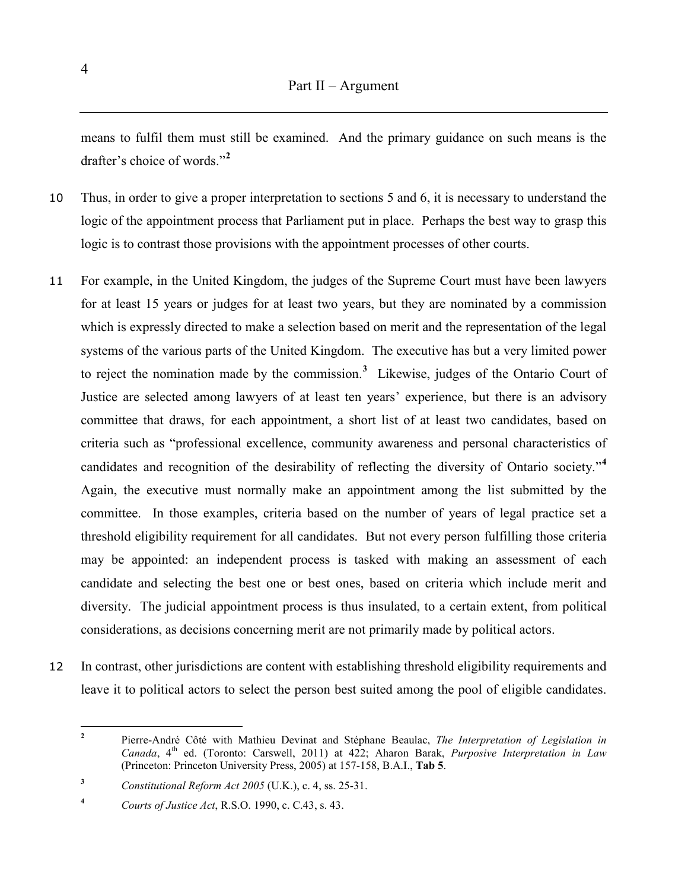means to fulfil them must still be examined. And the primary guidance on such means is the drafter's choice of words."**[2](#page-7-0)**

- 10 Thus, in order to give a proper interpretation to sections 5 and 6, it is necessary to understand the logic of the appointment process that Parliament put in place. Perhaps the best way to grasp this logic is to contrast those provisions with the appointment processes of other courts.
- 11 For example, in the United Kingdom, the judges of the Supreme Court must have been lawyers for at least 15 years or judges for at least two years, but they are nominated by a commission which is expressly directed to make a selection based on merit and the representation of the legal systems of the various parts of the United Kingdom. The executive has but a very limited power to reject the nomination made by the commission.**[3](#page-7-1)** Likewise, judges of the Ontario Court of Justice are selected among lawyers of at least ten years' experience, but there is an advisory committee that draws, for each appointment, a short list of at least two candidates, based on criteria such as "professional excellence, community awareness and personal characteristics of candidates and recognition of the desirability of reflecting the diversity of Ontario society."**[4](#page-7-2)** Again, the executive must normally make an appointment among the list submitted by the committee. In those examples, criteria based on the number of years of legal practice set a threshold eligibility requirement for all candidates. But not every person fulfilling those criteria may be appointed: an independent process is tasked with making an assessment of each candidate and selecting the best one or best ones, based on criteria which include merit and diversity. The judicial appointment process is thus insulated, to a certain extent, from political considerations, as decisions concerning merit are not primarily made by political actors.
- 12 In contrast, other jurisdictions are content with establishing threshold eligibility requirements and leave it to political actors to select the person best suited among the pool of eligible candidates.

<span id="page-7-0"></span>**<sup>2</sup>** Pierre-André Côté with Mathieu Devinat and Stéphane Beaulac, *The Interpretation of Legislation in Canada*, 4<sup>th</sup> ed. (Toronto: Carswell, 2011) at 422; Aharon Barak, *Purposive Interpretation in Law* (Princeton: Princeton University Press, 2005) at 157-158, B.A.I., **Tab 5**.

<span id="page-7-1"></span>**<sup>3</sup>** *Constitutional Reform Act 2005* (U.K.), c. 4, ss. 25-31.

<span id="page-7-2"></span>**<sup>4</sup>** *Courts of Justice Act*, R.S.O. 1990, c. C.43, s. 43.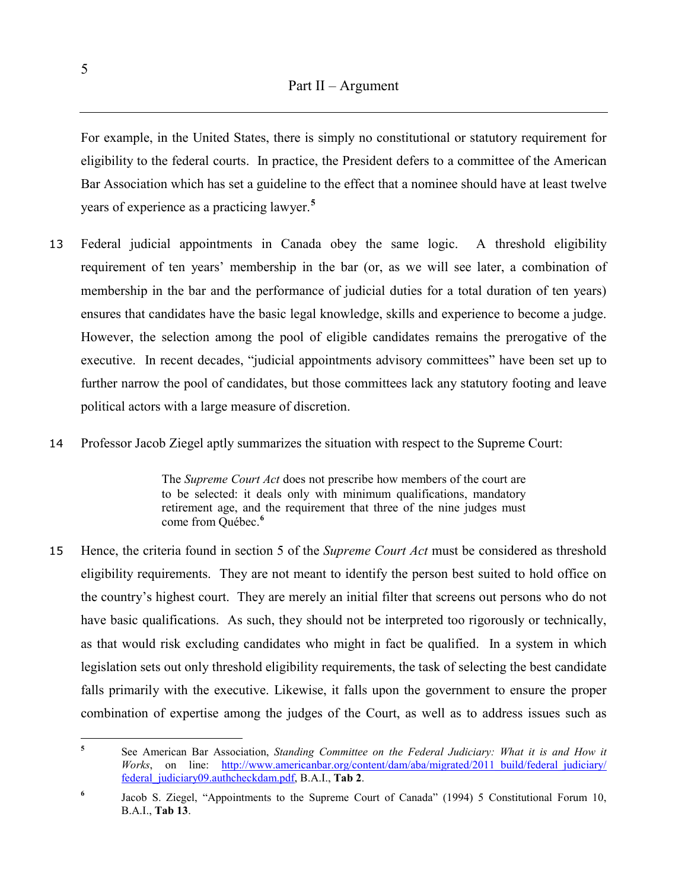For example, in the United States, there is simply no constitutional or statutory requirement for eligibility to the federal courts. In practice, the President defers to a committee of the American Bar Association which has set a guideline to the effect that a nominee should have at least twelve years of experience as a practicing lawyer.**[5](#page-8-0)**

- 13 Federal judicial appointments in Canada obey the same logic. A threshold eligibility requirement of ten years' membership in the bar (or, as we will see later, a combination of membership in the bar and the performance of judicial duties for a total duration of ten years) ensures that candidates have the basic legal knowledge, skills and experience to become a judge. However, the selection among the pool of eligible candidates remains the prerogative of the executive. In recent decades, "judicial appointments advisory committees" have been set up to further narrow the pool of candidates, but those committees lack any statutory footing and leave political actors with a large measure of discretion.
- 14 Professor Jacob Ziegel aptly summarizes the situation with respect to the Supreme Court:

The *Supreme Court Act* does not prescribe how members of the court are to be selected: it deals only with minimum qualifications, mandatory retirement age, and the requirement that three of the nine judges must come from Québec.**[6](#page-8-1)**

15 Hence, the criteria found in section 5 of the *Supreme Court Act* must be considered as threshold eligibility requirements. They are not meant to identify the person best suited to hold office on the country's highest court. They are merely an initial filter that screens out persons who do not have basic qualifications. As such, they should not be interpreted too rigorously or technically, as that would risk excluding candidates who might in fact be qualified. In a system in which legislation sets out only threshold eligibility requirements, the task of selecting the best candidate falls primarily with the executive. Likewise, it falls upon the government to ensure the proper combination of expertise among the judges of the Court, as well as to address issues such as

<span id="page-8-0"></span>**<sup>5</sup>** See American Bar Association, *Standing Committee on the Federal Judiciary: What it is and How it Works*, on line: http://www.americanbar.org/content/dam/aba/migrated/2011\_build/federal\_judiciary/ [federal\\_judiciary09.authcheckdam.pdf,](http://www.americanbar.org/content/dam/aba/migrated/2011_build/federal_judiciary/%20federal_judiciary09.authcheckdam.pdf) B.A.I., **Tab 2**.

<span id="page-8-1"></span><sup>&</sup>lt;sup>6</sup> Jacob S. Ziegel, "Appointments to the Supreme Court of Canada" (1994) 5 Constitutional Forum 10, B.A.I., **Tab 13**.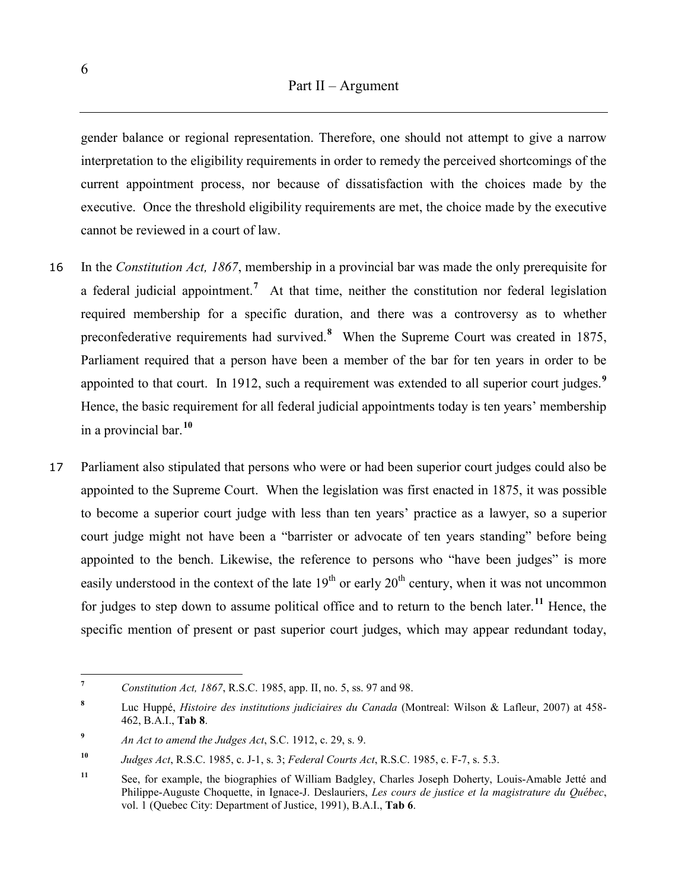gender balance or regional representation. Therefore, one should not attempt to give a narrow interpretation to the eligibility requirements in order to remedy the perceived shortcomings of the current appointment process, nor because of dissatisfaction with the choices made by the executive. Once the threshold eligibility requirements are met, the choice made by the executive cannot be reviewed in a court of law.

- 16 In the *Constitution Act, 1867*, membership in a provincial bar was made the only prerequisite for a federal judicial appointment.**[7](#page-9-0)** At that time, neither the constitution nor federal legislation required membership for a specific duration, and there was a controversy as to whether preconfederative requirements had survived.<sup>[8](#page-9-1)</sup> When the Supreme Court was created in 1875, Parliament required that a person have been a member of the bar for ten years in order to be appointed to that court. In 1912, such a requirement was extended to all superior court judges.**[9](#page-9-2)** Hence, the basic requirement for all federal judicial appointments today is ten years' membership in a provincial bar.**[10](#page-9-3)**
- 17 Parliament also stipulated that persons who were or had been superior court judges could also be appointed to the Supreme Court. When the legislation was first enacted in 1875, it was possible to become a superior court judge with less than ten years' practice as a lawyer, so a superior court judge might not have been a "barrister or advocate of ten years standing" before being appointed to the bench. Likewise, the reference to persons who "have been judges" is more easily understood in the context of the late  $19<sup>th</sup>$  or early  $20<sup>th</sup>$  century, when it was not uncommon for judges to step down to assume political office and to return to the bench later.**[11](#page-9-4)** Hence, the specific mention of present or past superior court judges, which may appear redundant today,

<span id="page-9-0"></span>**<sup>7</sup>** *Constitution Act, 1867*, R.S.C. 1985, app. II, no. 5, ss. 97 and 98.

<span id="page-9-1"></span>**<sup>8</sup>** Luc Huppé, *Histoire des institutions judiciaires du Canada* (Montreal: Wilson & Lafleur, 2007) at 458- 462, B.A.I., **Tab 8**.

<span id="page-9-2"></span>**<sup>9</sup>** *An Act to amend the Judges Act*, S.C. 1912, c. 29, s. 9.

<span id="page-9-3"></span>**<sup>10</sup>** *Judges Act*, R.S.C. 1985, c. J-1, s. 3; *Federal Courts Act*, R.S.C. 1985, c. F-7, s. 5.3.

<span id="page-9-4"></span>**<sup>11</sup>** See, for example, the biographies of William Badgley, Charles Joseph Doherty, Louis-Amable Jetté and Philippe-Auguste Choquette, in Ignace-J. Deslauriers, *Les cours de justice et la magistrature du Québec*, vol. 1 (Quebec City: Department of Justice, 1991), B.A.I., **Tab 6**.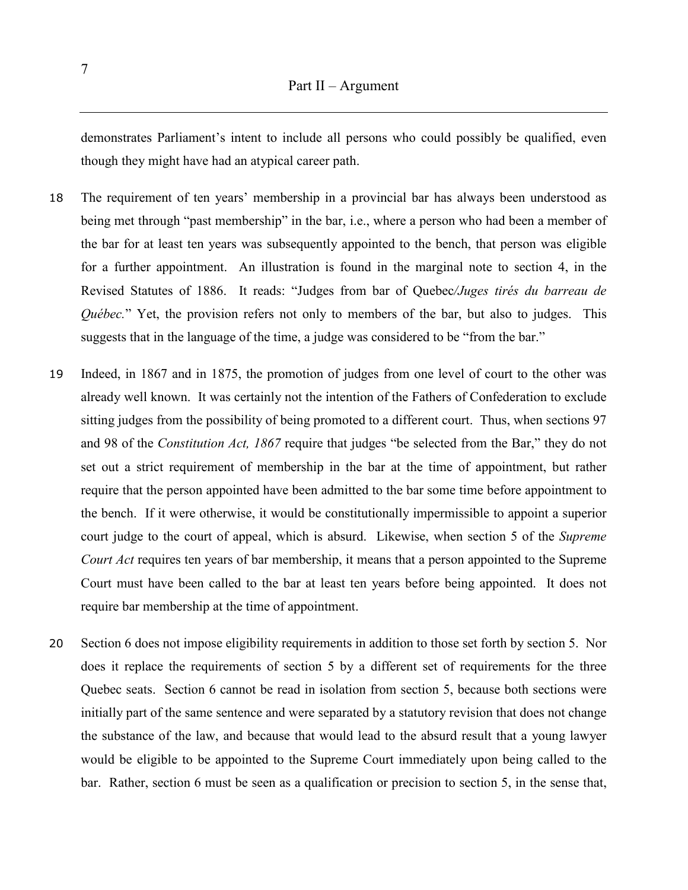demonstrates Parliament's intent to include all persons who could possibly be qualified, even though they might have had an atypical career path.

- 18 The requirement of ten years' membership in a provincial bar has always been understood as being met through "past membership" in the bar, i.e., where a person who had been a member of the bar for at least ten years was subsequently appointed to the bench, that person was eligible for a further appointment. An illustration is found in the marginal note to section 4, in the Revised Statutes of 1886. It reads: "Judges from bar of Quebec*/Juges tirés du barreau de Québec.*" Yet, the provision refers not only to members of the bar, but also to judges. This suggests that in the language of the time, a judge was considered to be "from the bar."
- 19 Indeed, in 1867 and in 1875, the promotion of judges from one level of court to the other was already well known. It was certainly not the intention of the Fathers of Confederation to exclude sitting judges from the possibility of being promoted to a different court. Thus, when sections 97 and 98 of the *Constitution Act, 1867* require that judges "be selected from the Bar," they do not set out a strict requirement of membership in the bar at the time of appointment, but rather require that the person appointed have been admitted to the bar some time before appointment to the bench. If it were otherwise, it would be constitutionally impermissible to appoint a superior court judge to the court of appeal, which is absurd. Likewise, when section 5 of the *Supreme Court Act* requires ten years of bar membership, it means that a person appointed to the Supreme Court must have been called to the bar at least ten years before being appointed. It does not require bar membership at the time of appointment.
- 20 Section 6 does not impose eligibility requirements in addition to those set forth by section 5. Nor does it replace the requirements of section 5 by a different set of requirements for the three Quebec seats. Section 6 cannot be read in isolation from section 5, because both sections were initially part of the same sentence and were separated by a statutory revision that does not change the substance of the law, and because that would lead to the absurd result that a young lawyer would be eligible to be appointed to the Supreme Court immediately upon being called to the bar. Rather, section 6 must be seen as a qualification or precision to section 5, in the sense that,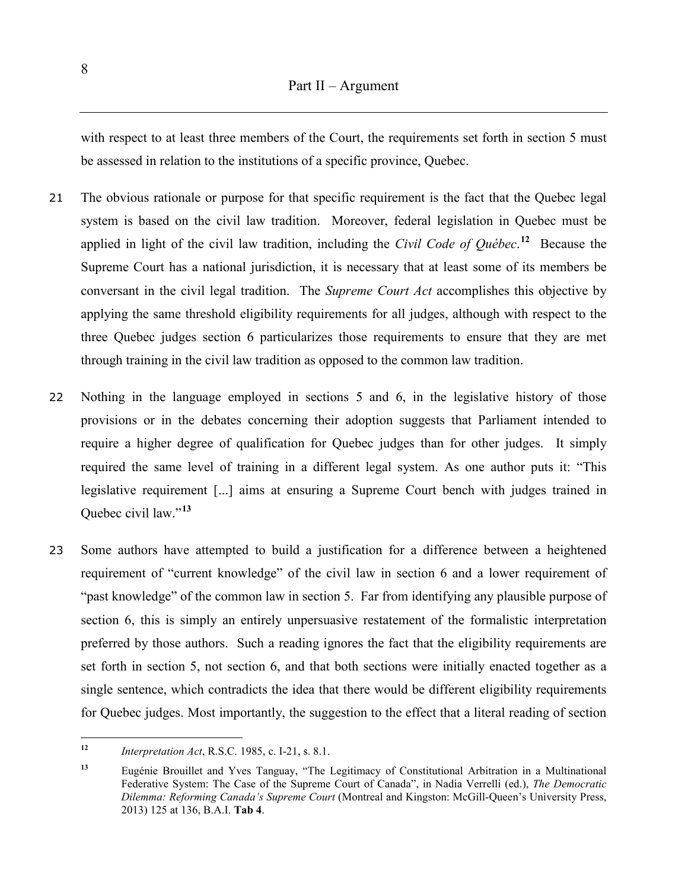with respect to at least three members of the Court, the requirements set forth in section 5 must be assessed in relation to the institutions of a specific province, Quebec.

- 21 The obvious rationale or purpose for that specific requirement is the fact that the Quebec legal system is based on the civil law tradition. Moreover, federal legislation in Quebec must be applied in light of the civil law tradition, including the *Civil Code of Québec*. **[12](#page-11-0)** Because the Supreme Court has a national jurisdiction, it is necessary that at least some of its members be conversant in the civil legal tradition. The *Supreme Court Act* accomplishes this objective by applying the same threshold eligibility requirements for all judges, although with respect to the three Quebec judges section 6 particularizes those requirements to ensure that they are met through training in the civil law tradition as opposed to the common law tradition.
- 22 Nothing in the language employed in sections 5 and 6, in the legislative history of those provisions or in the debates concerning their adoption suggests that Parliament intended to require a higher degree of qualification for Quebec judges than for other judges. It simply required the same level of training in a different legal system. As one author puts it: "This legislative requirement [...] aims at ensuring a Supreme Court bench with judges trained in Quebec civil law."**[13](#page-11-1)**
- 23 Some authors have attempted to build a justification for a difference between a heightened requirement of "current knowledge" of the civil law in section 6 and a lower requirement of "past knowledge" of the common law in section 5. Far from identifying any plausible purpose of section 6, this is simply an entirely unpersuasive restatement of the formalistic interpretation preferred by those authors. Such a reading ignores the fact that the eligibility requirements are set forth in section 5, not section 6, and that both sections were initially enacted together as a single sentence, which contradicts the idea that there would be different eligibility requirements for Quebec judges. Most importantly, the suggestion to the effect that a literal reading of section

<span id="page-11-0"></span>**<sup>12</sup>** *Interpretation Act*, R.S.C. 1985, c. I-21, s. 8.1.

<span id="page-11-1"></span>**<sup>13</sup>** Eugénie Brouillet and Yves Tanguay, "The Legitimacy of Constitutional Arbitration in a Multinational Federative System: The Case of the Supreme Court of Canada", in Nadia Verrelli (ed.), *The Democratic Dilemma: Reforming Canada's Supreme Court* (Montreal and Kingston: McGill-Queen's University Press, 2013) 125 at 136, B.A.I. **Tab 4**.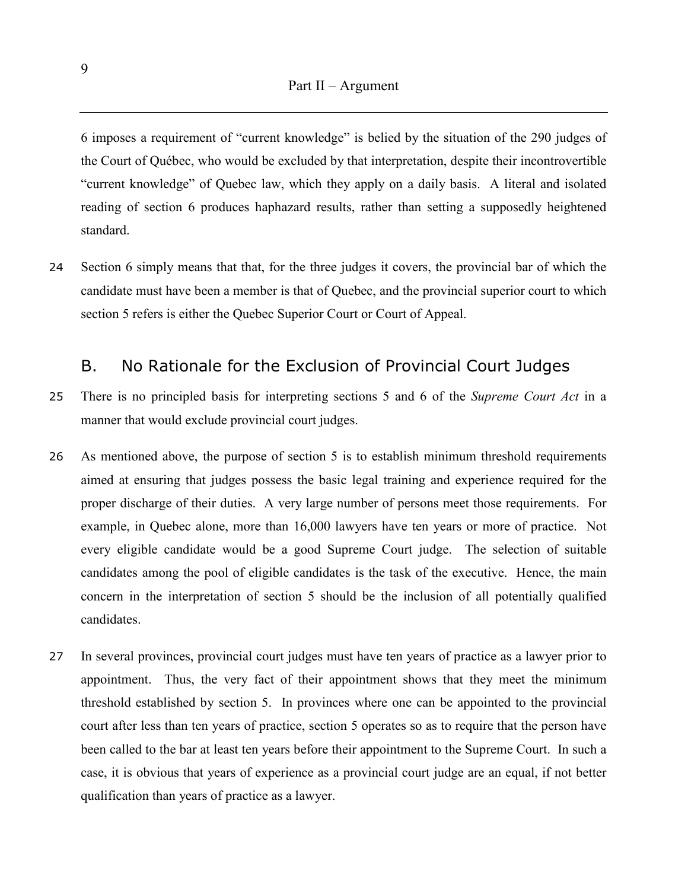<span id="page-12-0"></span>6 imposes a requirement of "current knowledge" is belied by the situation of the 290 judges of the Court of Québec, who would be excluded by that interpretation, despite their incontrovertible "current knowledge" of Quebec law, which they apply on a daily basis. A literal and isolated reading of section 6 produces haphazard results, rather than setting a supposedly heightened standard.

24 Section 6 simply means that that, for the three judges it covers, the provincial bar of which the candidate must have been a member is that of Quebec, and the provincial superior court to which section 5 refers is either the Quebec Superior Court or Court of Appeal.

### B. No Rationale for the Exclusion of Provincial Court Judges

- 25 There is no principled basis for interpreting sections 5 and 6 of the *Supreme Court Act* in a manner that would exclude provincial court judges.
- 26 As mentioned above, the purpose of section 5 is to establish minimum threshold requirements aimed at ensuring that judges possess the basic legal training and experience required for the proper discharge of their duties. A very large number of persons meet those requirements. For example, in Quebec alone, more than 16,000 lawyers have ten years or more of practice. Not every eligible candidate would be a good Supreme Court judge. The selection of suitable candidates among the pool of eligible candidates is the task of the executive. Hence, the main concern in the interpretation of section 5 should be the inclusion of all potentially qualified candidates.
- 27 In several provinces, provincial court judges must have ten years of practice as a lawyer prior to appointment. Thus, the very fact of their appointment shows that they meet the minimum threshold established by section 5. In provinces where one can be appointed to the provincial court after less than ten years of practice, section 5 operates so as to require that the person have been called to the bar at least ten years before their appointment to the Supreme Court. In such a case, it is obvious that years of experience as a provincial court judge are an equal, if not better qualification than years of practice as a lawyer.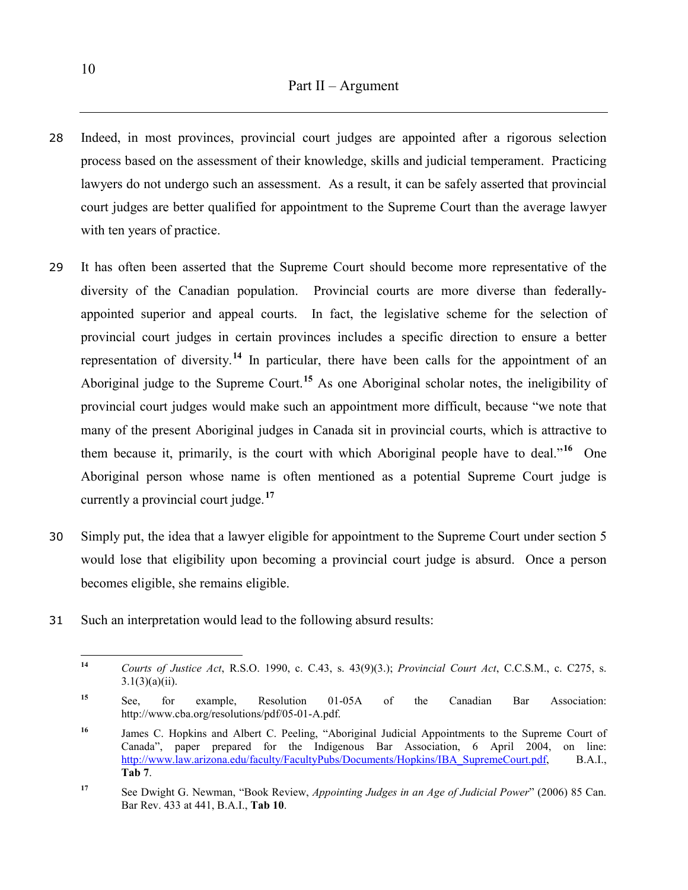- 28 Indeed, in most provinces, provincial court judges are appointed after a rigorous selection process based on the assessment of their knowledge, skills and judicial temperament. Practicing lawyers do not undergo such an assessment. As a result, it can be safely asserted that provincial court judges are better qualified for appointment to the Supreme Court than the average lawyer with ten years of practice.
- 29 It has often been asserted that the Supreme Court should become more representative of the diversity of the Canadian population. Provincial courts are more diverse than federallyappointed superior and appeal courts. In fact, the legislative scheme for the selection of provincial court judges in certain provinces includes a specific direction to ensure a better representation of diversity.**[14](#page-13-0)** In particular, there have been calls for the appointment of an Aboriginal judge to the Supreme Court.**[15](#page-13-1)** As one Aboriginal scholar notes, the ineligibility of provincial court judges would make such an appointment more difficult, because "we note that many of the present Aboriginal judges in Canada sit in provincial courts, which is attractive to them because it, primarily, is the court with which Aboriginal people have to deal."**[16](#page-13-2)** One Aboriginal person whose name is often mentioned as a potential Supreme Court judge is currently a provincial court judge.**[17](#page-13-3)**
- 30 Simply put, the idea that a lawyer eligible for appointment to the Supreme Court under section 5 would lose that eligibility upon becoming a provincial court judge is absurd. Once a person becomes eligible, she remains eligible.
- <span id="page-13-0"></span>31 Such an interpretation would lead to the following absurd results:

**<sup>14</sup>** *Courts of Justice Act*, R.S.O. 1990, c. C.43, s. 43(9)(3.); *Provincial Court Act*, C.C.S.M., c. C275, s.  $3.1(3)(a)(ii)$ .

<span id="page-13-1"></span>**<sup>15</sup>** See, for example, Resolution 01-05A of the Canadian Bar Association: http://www.cba.org/resolutions/pdf/05-01-A.pdf.

<span id="page-13-2"></span><sup>&</sup>lt;sup>16</sup> James C. Hopkins and Albert C. Peeling, "Aboriginal Judicial Appointments to the Supreme Court of Canada", paper prepared for the Indigenous Bar Association, 6 April 2004, on line: [http://www.law.arizona.edu/faculty/FacultyPubs/Documents/Hopkins/IBA\\_SupremeCourt.pdf,](http://www.law.arizona.edu/faculty/FacultyPubs/Documents/Hopkins/IBA_SupremeCourt.pdf) B.A.I., **Tab 7**.

<span id="page-13-3"></span>**<sup>17</sup>** See Dwight G. Newman, "Book Review, *Appointing Judges in an Age of Judicial Power*" (2006) 85 Can. Bar Rev. 433 at 441, B.A.I., **Tab 10**.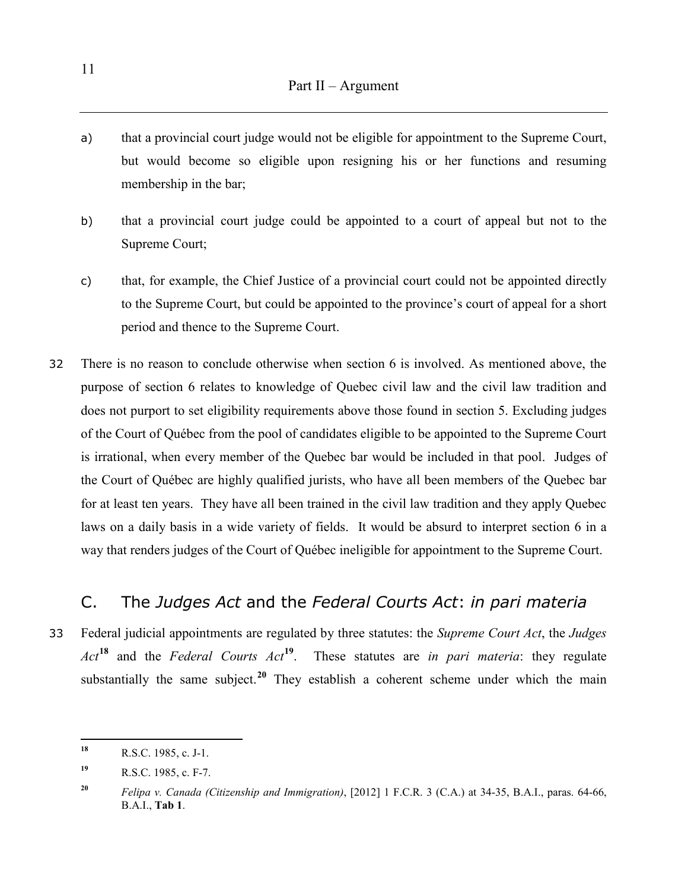- <span id="page-14-0"></span>a) that a provincial court judge would not be eligible for appointment to the Supreme Court, but would become so eligible upon resigning his or her functions and resuming membership in the bar;
- b) that a provincial court judge could be appointed to a court of appeal but not to the Supreme Court;
- c) that, for example, the Chief Justice of a provincial court could not be appointed directly to the Supreme Court, but could be appointed to the province's court of appeal for a short period and thence to the Supreme Court.
- 32 There is no reason to conclude otherwise when section 6 is involved. As mentioned above, the purpose of section 6 relates to knowledge of Quebec civil law and the civil law tradition and does not purport to set eligibility requirements above those found in section 5. Excluding judges of the Court of Québec from the pool of candidates eligible to be appointed to the Supreme Court is irrational, when every member of the Quebec bar would be included in that pool. Judges of the Court of Québec are highly qualified jurists, who have all been members of the Quebec bar for at least ten years. They have all been trained in the civil law tradition and they apply Quebec laws on a daily basis in a wide variety of fields. It would be absurd to interpret section 6 in a way that renders judges of the Court of Québec ineligible for appointment to the Supreme Court.

### C. The *Judges Act* and the *Federal Courts Act*: *in pari materia*

33 Federal judicial appointments are regulated by three statutes: the *Supreme Court Act*, the *Judges Act***[18](#page-14-1)** and the *Federal Courts Act***[19](#page-14-2)**. These statutes are *in pari materia*: they regulate substantially the same subject.<sup>[20](#page-14-3)</sup> They establish a coherent scheme under which the main

<span id="page-14-1"></span>**<sup>18</sup>** R.S.C. 1985, c. J-1.

<span id="page-14-2"></span>**<sup>19</sup>** R.S.C. 1985, c. F-7.

<span id="page-14-3"></span>**<sup>20</sup>** *Felipa v. Canada (Citizenship and Immigration)*, [2012] 1 F.C.R. 3 (C.A.) at 34-35, B.A.I., paras. 64-66, B.A.I., **Tab 1**.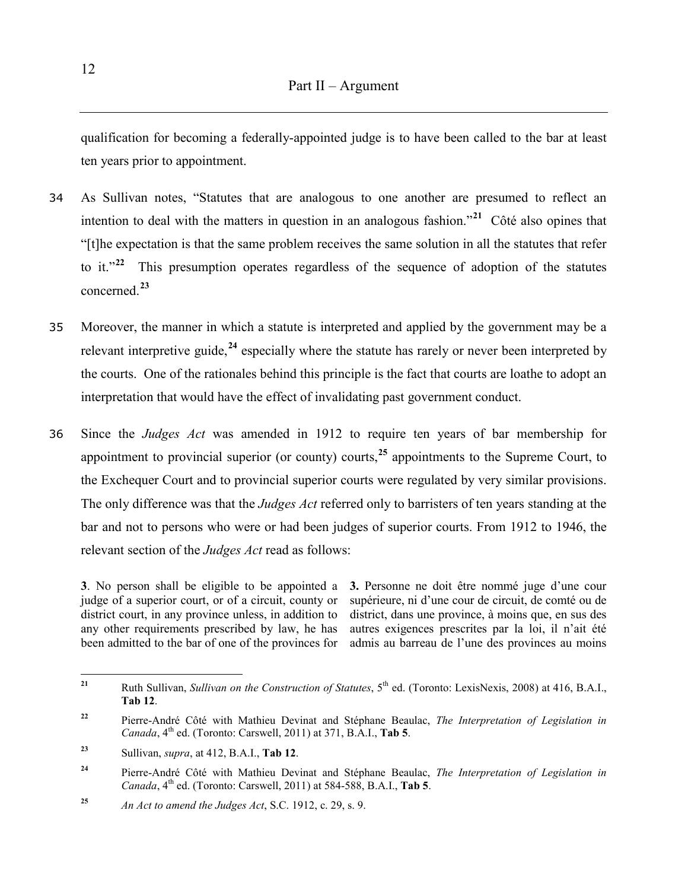qualification for becoming a federally-appointed judge is to have been called to the bar at least ten years prior to appointment.

- 34 As Sullivan notes, "Statutes that are analogous to one another are presumed to reflect an intention to deal with the matters in question in an analogous fashion."**[21](#page-15-0)** Côté also opines that "[t]he expectation is that the same problem receives the same solution in all the statutes that refer to it."**[22](#page-15-1)** This presumption operates regardless of the sequence of adoption of the statutes concerned.**[23](#page-15-2)**
- 35 Moreover, the manner in which a statute is interpreted and applied by the government may be a relevant interpretive guide,**[24](#page-15-3)** especially where the statute has rarely or never been interpreted by the courts. One of the rationales behind this principle is the fact that courts are loathe to adopt an interpretation that would have the effect of invalidating past government conduct.
- 36 Since the *Judges Act* was amended in 1912 to require ten years of bar membership for appointment to provincial superior (or county) courts,**[25](#page-15-4)** appointments to the Supreme Court, to the Exchequer Court and to provincial superior courts were regulated by very similar provisions. The only difference was that the *Judges Act* referred only to barristers of ten years standing at the bar and not to persons who were or had been judges of superior courts. From 1912 to 1946, the relevant section of the *Judges Act* read as follows:

**3**. No person shall be eligible to be appointed a judge of a superior court, or of a circuit, county or district court, in any province unless, in addition to any other requirements prescribed by law, he has been admitted to the bar of one of the provinces for

**3.** Personne ne doit être nommé juge d'une cour supérieure, ni d'une cour de circuit, de comté ou de district, dans une province, à moins que, en sus des autres exigences prescrites par la loi, il n'ait été admis au barreau de l'une des provinces au moins

<span id="page-15-0"></span><sup>&</sup>lt;sup>21</sup> Ruth Sullivan, *Sullivan on the Construction of Statutes*, 5<sup>th</sup> ed. (Toronto: LexisNexis, 2008) at 416, B.A.I., **Tab 12**.

<span id="page-15-1"></span>**<sup>22</sup>** Pierre-André Côté with Mathieu Devinat and Stéphane Beaulac, *The Interpretation of Legislation in Canada*, 4<sup>th</sup> ed. (Toronto: Carswell, 2011) at 371, B.A.I., **Tab 5**.

<span id="page-15-2"></span>**<sup>23</sup>** Sullivan, *supra*, at 412, B.A.I., **Tab 12**.

<span id="page-15-3"></span>**<sup>24</sup>** Pierre-André Côté with Mathieu Devinat and Stéphane Beaulac, *The Interpretation of Legislation in Canada*, 4<sup>th</sup> ed. (Toronto: Carswell, 2011) at 584-588, B.A.I., **Tab 5**.

<span id="page-15-4"></span>**<sup>25</sup>** *An Act to amend the Judges Act*, S.C. 1912, c. 29, s. 9.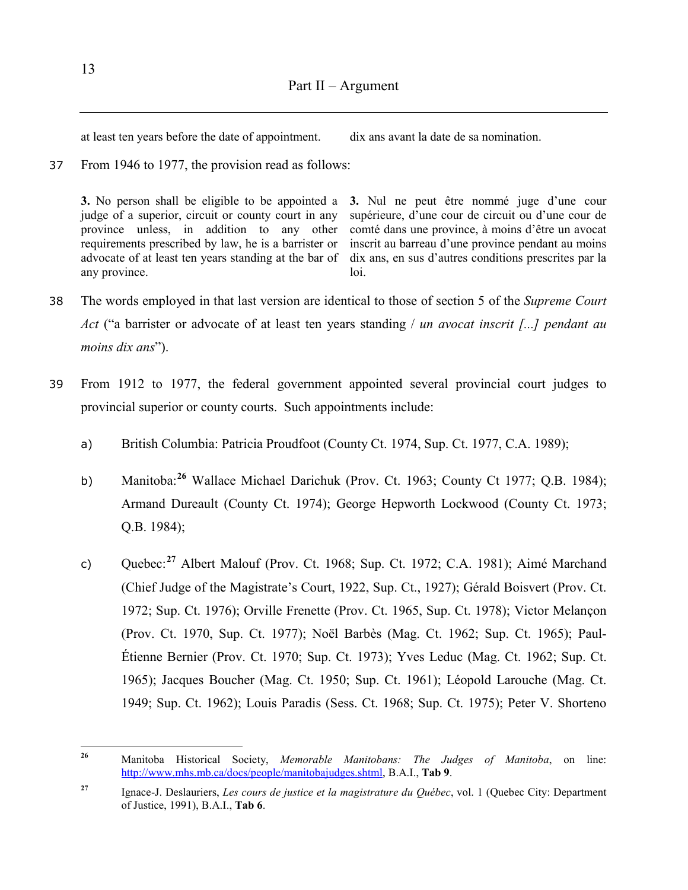at least ten years before the date of appointment. dix ans avant la date de sa nomination.

37 From 1946 to 1977, the provision read as follows:

**3.** No person shall be eligible to be appointed a judge of a superior, circuit or county court in any province unless, in addition to any other requirements prescribed by law, he is a barrister or advocate of at least ten years standing at the bar of any province.

**3.** Nul ne peut être nommé juge d'une cour supérieure, d'une cour de circuit ou d'une cour de comté dans une province, à moins d'être un avocat inscrit au barreau d'une province pendant au moins dix ans, en sus d'autres conditions prescrites par la loi.

- 38 The words employed in that last version are identical to those of section 5 of the *Supreme Court Act* ("a barrister or advocate of at least ten years standing / *un avocat inscrit [...] pendant au moins dix ans*").
- 39 From 1912 to 1977, the federal government appointed several provincial court judges to provincial superior or county courts. Such appointments include:
	- a) British Columbia: Patricia Proudfoot (County Ct. 1974, Sup. Ct. 1977, C.A. 1989);
	- b) Manitoba:**[26](#page-16-0)** Wallace Michael Darichuk (Prov. Ct. 1963; County Ct 1977; Q.B. 1984); Armand Dureault (County Ct. 1974); George Hepworth Lockwood (County Ct. 1973; Q.B. 1984);
	- c) Quebec:**[27](#page-16-1)** Albert Malouf (Prov. Ct. 1968; Sup. Ct. 1972; C.A. 1981); Aimé Marchand (Chief Judge of the Magistrate's Court, 1922, Sup. Ct., 1927); Gérald Boisvert (Prov. Ct. 1972; Sup. Ct. 1976); Orville Frenette (Prov. Ct. 1965, Sup. Ct. 1978); Victor Melançon (Prov. Ct. 1970, Sup. Ct. 1977); Noël Barbès (Mag. Ct. 1962; Sup. Ct. 1965); Paul-Étienne Bernier (Prov. Ct. 1970; Sup. Ct. 1973); Yves Leduc (Mag. Ct. 1962; Sup. Ct. 1965); Jacques Boucher (Mag. Ct. 1950; Sup. Ct. 1961); Léopold Larouche (Mag. Ct. 1949; Sup. Ct. 1962); Louis Paradis (Sess. Ct. 1968; Sup. Ct. 1975); Peter V. Shorteno

<span id="page-16-0"></span>**<sup>26</sup>** Manitoba Historical Society, *Memorable Manitobans: The Judges of Manitoba*, on line: [http://www.mhs.mb.ca/docs/people/manitobajudges.shtml,](http://www.mhs.mb.ca/docs/people/manitobajudges.shtml) B.A.I., **Tab 9**.

<span id="page-16-1"></span>**<sup>27</sup>** Ignace-J. Deslauriers, *Les cours de justice et la magistrature du Québec*, vol. 1 (Quebec City: Department of Justice, 1991), B.A.I., **Tab 6**.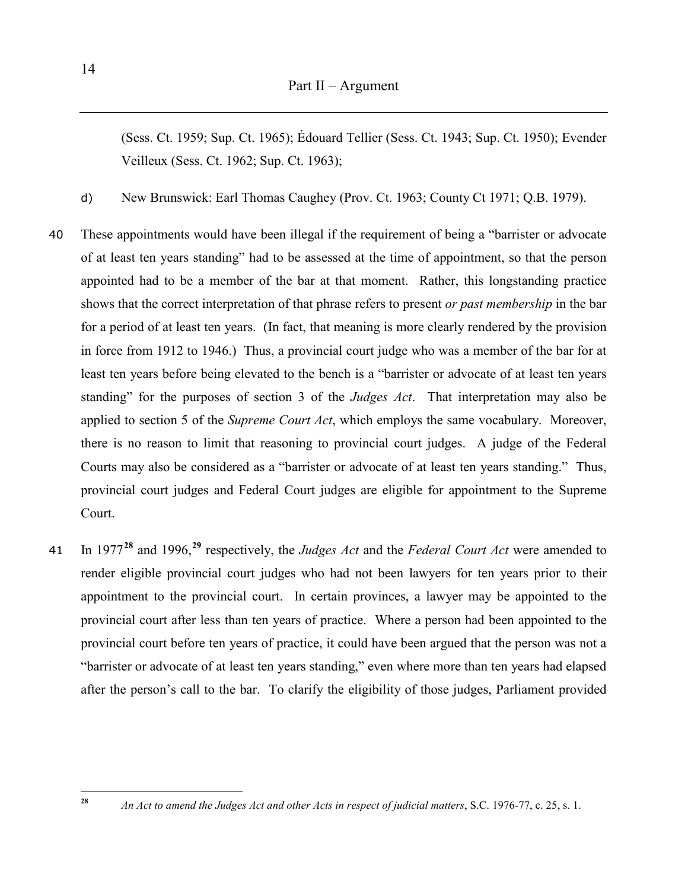(Sess. Ct. 1959; Sup. Ct. 1965); Édouard Tellier (Sess. Ct. 1943; Sup. Ct. 1950); Evender Veilleux (Sess. Ct. 1962; Sup. Ct. 1963);

- d) New Brunswick: Earl Thomas Caughey (Prov. Ct. 1963; County Ct 1971; Q.B. 1979).
- 40 These appointments would have been illegal if the requirement of being a "barrister or advocate of at least ten years standing" had to be assessed at the time of appointment, so that the person appointed had to be a member of the bar at that moment. Rather, this longstanding practice shows that the correct interpretation of that phrase refers to present *or past membership* in the bar for a period of at least ten years. (In fact, that meaning is more clearly rendered by the provision in force from 1912 to 1946.) Thus, a provincial court judge who was a member of the bar for at least ten years before being elevated to the bench is a "barrister or advocate of at least ten years standing" for the purposes of section 3 of the *Judges Act*. That interpretation may also be applied to section 5 of the *Supreme Court Act*, which employs the same vocabulary. Moreover, there is no reason to limit that reasoning to provincial court judges. A judge of the Federal Courts may also be considered as a "barrister or advocate of at least ten years standing." Thus, provincial court judges and Federal Court judges are eligible for appointment to the Supreme Court.
- <sup>41</sup> In 1977**[28](#page-17-0)** and 1996,**[29](#page-17-1)** respectively, the *Judges Act* and the *Federal Court Act* were amended to render eligible provincial court judges who had not been lawyers for ten years prior to their appointment to the provincial court. In certain provinces, a lawyer may be appointed to the provincial court after less than ten years of practice. Where a person had been appointed to the provincial court before ten years of practice, it could have been argued that the person was not a "barrister or advocate of at least ten years standing," even where more than ten years had elapsed after the person's call to the bar. To clarify the eligibility of those judges, Parliament provided

<span id="page-17-1"></span><span id="page-17-0"></span>**<sup>28</sup>** *An Act to amend the Judges Act and other Acts in respect of judicial matters*, S.C. 1976-77, c. 25, s. 1.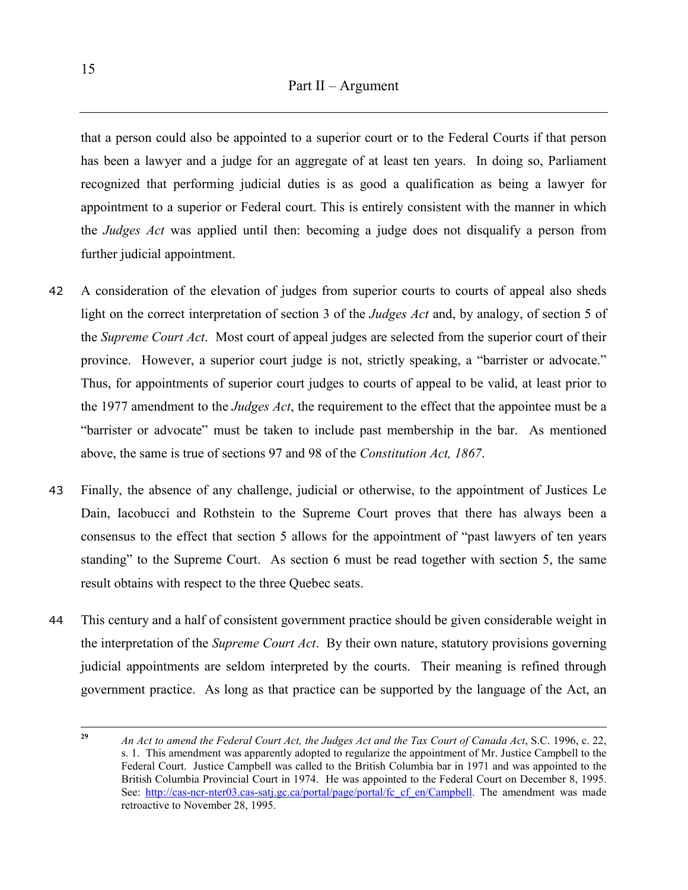that a person could also be appointed to a superior court or to the Federal Courts if that person has been a lawyer and a judge for an aggregate of at least ten years. In doing so, Parliament recognized that performing judicial duties is as good a qualification as being a lawyer for appointment to a superior or Federal court. This is entirely consistent with the manner in which the *Judges Act* was applied until then: becoming a judge does not disqualify a person from further judicial appointment.

- 42 A consideration of the elevation of judges from superior courts to courts of appeal also sheds light on the correct interpretation of section 3 of the *Judges Act* and, by analogy, of section 5 of the *Supreme Court Act*. Most court of appeal judges are selected from the superior court of their province. However, a superior court judge is not, strictly speaking, a "barrister or advocate." Thus, for appointments of superior court judges to courts of appeal to be valid, at least prior to the 1977 amendment to the *Judges Act*, the requirement to the effect that the appointee must be a "barrister or advocate" must be taken to include past membership in the bar. As mentioned above, the same is true of sections 97 and 98 of the *Constitution Act, 1867*.
- 43 Finally, the absence of any challenge, judicial or otherwise, to the appointment of Justices Le Dain, Iacobucci and Rothstein to the Supreme Court proves that there has always been a consensus to the effect that section 5 allows for the appointment of "past lawyers of ten years standing" to the Supreme Court. As section 6 must be read together with section 5, the same result obtains with respect to the three Quebec seats.
- 44 This century and a half of consistent government practice should be given considerable weight in the interpretation of the *Supreme Court Act*. By their own nature, statutory provisions governing judicial appointments are seldom interpreted by the courts. Their meaning is refined through government practice. As long as that practice can be supported by the language of the Act, an

**<sup>29</sup>** *An Act to amend the Federal Court Act, the Judges Act and the Tax Court of Canada Act*, S.C. 1996, c. 22, s. 1. This amendment was apparently adopted to regularize the appointment of Mr. Justice Campbell to the Federal Court. Justice Campbell was called to the British Columbia bar in 1971 and was appointed to the British Columbia Provincial Court in 1974. He was appointed to the Federal Court on December 8, 1995. See: http://cas-ncr-nter03.cas-satj.gc.ca/portal/page/portal/fc cf en/Campbell. The amendment was made retroactive to November 28, 1995.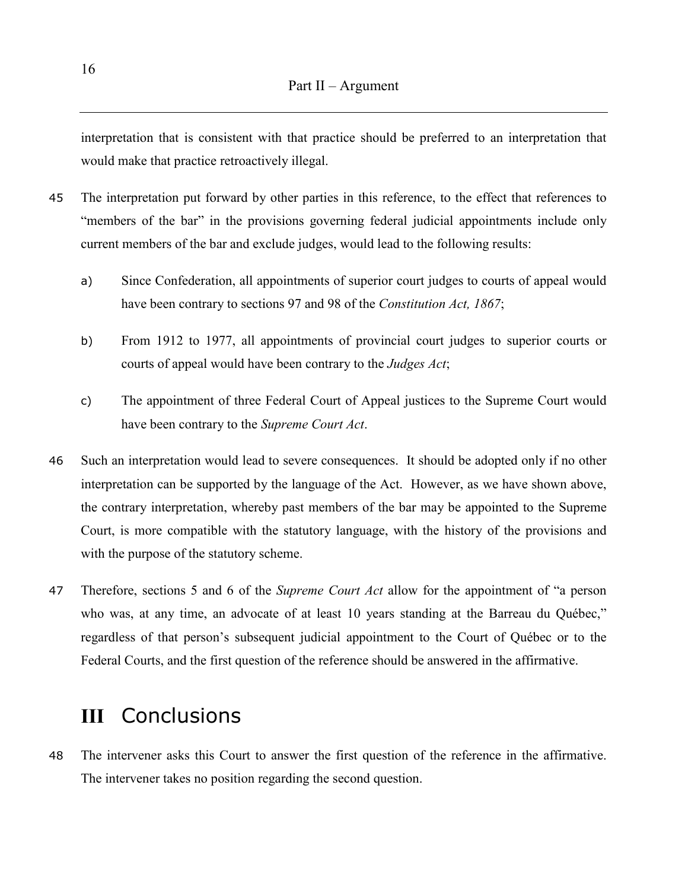<span id="page-19-0"></span>interpretation that is consistent with that practice should be preferred to an interpretation that would make that practice retroactively illegal.

- 45 The interpretation put forward by other parties in this reference, to the effect that references to "members of the bar" in the provisions governing federal judicial appointments include only current members of the bar and exclude judges, would lead to the following results:
	- a) Since Confederation, all appointments of superior court judges to courts of appeal would have been contrary to sections 97 and 98 of the *Constitution Act, 1867*;
	- b) From 1912 to 1977, all appointments of provincial court judges to superior courts or courts of appeal would have been contrary to the *Judges Act*;
	- c) The appointment of three Federal Court of Appeal justices to the Supreme Court would have been contrary to the *Supreme Court Act*.
- 46 Such an interpretation would lead to severe consequences. It should be adopted only if no other interpretation can be supported by the language of the Act. However, as we have shown above, the contrary interpretation, whereby past members of the bar may be appointed to the Supreme Court, is more compatible with the statutory language, with the history of the provisions and with the purpose of the statutory scheme.
- 47 Therefore, sections 5 and 6 of the *Supreme Court Act* allow for the appointment of "a person who was, at any time, an advocate of at least 10 years standing at the Barreau du Québec," regardless of that person's subsequent judicial appointment to the Court of Québec or to the Federal Courts, and the first question of the reference should be answered in the affirmative.

## **III** Conclusions

48 The intervener asks this Court to answer the first question of the reference in the affirmative. The intervener takes no position regarding the second question.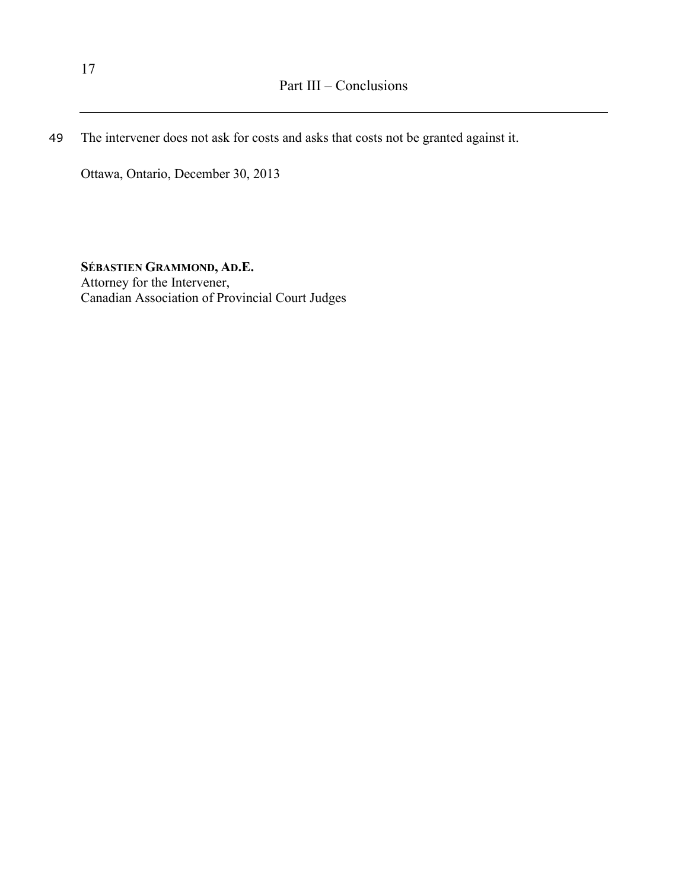49 The intervener does not ask for costs and asks that costs not be granted against it.

Ottawa, Ontario, December 30, 2013

**SÉBASTIEN GRAMMOND, AD.E.** Attorney for the Intervener, Canadian Association of Provincial Court Judges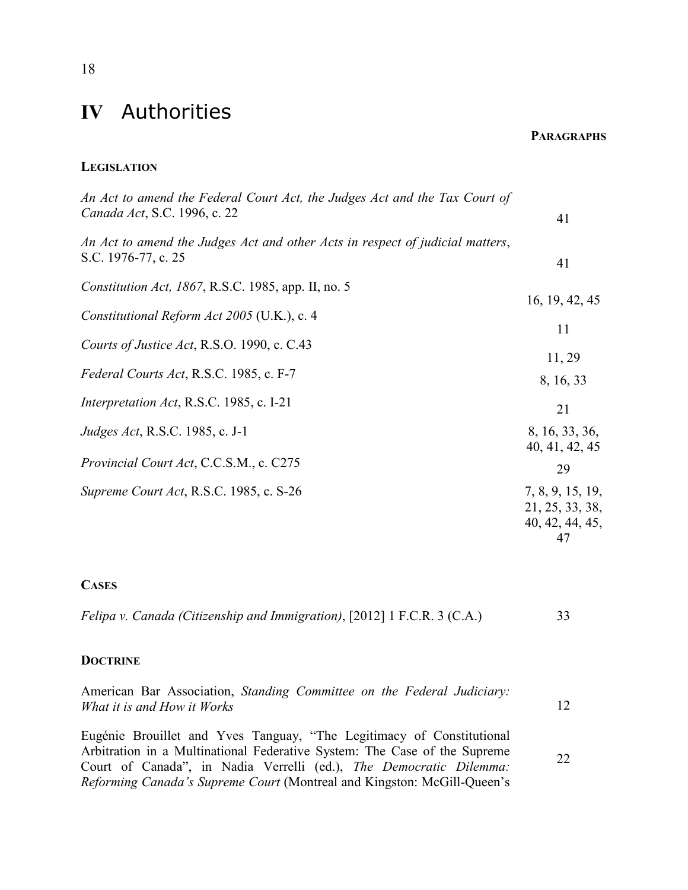## <span id="page-21-0"></span>**IV** Authorities

**PARAGRAPHS**

### **LEGISLATION**

| An Act to amend the Federal Court Act, the Judges Act and the Tax Court of<br>Canada Act, S.C. 1996, c. 22 | 41                                                                 |
|------------------------------------------------------------------------------------------------------------|--------------------------------------------------------------------|
| An Act to amend the Judges Act and other Acts in respect of judicial matters,<br>S.C. 1976-77, c. 25       | 41                                                                 |
| <i>Constitution Act, 1867, R.S.C. 1985, app. II, no. 5</i><br>Constitutional Reform Act 2005 (U.K.), c. 4  | 16, 19, 42, 45<br>11                                               |
| Courts of Justice Act, R.S.O. 1990, c. C.43<br>Federal Courts Act, R.S.C. 1985, c. F-7                     | 11, 29<br>8, 16, 33                                                |
| Interpretation Act, R.S.C. 1985, c. I-21<br><i>Judges Act</i> , R.S.C. 1985, c. J-1                        | 21<br>8, 16, 33, 36,<br>40, 41, 42, 45                             |
| Provincial Court Act, C.C.S.M., c. C275<br>Supreme Court Act, R.S.C. 1985, c. S-26                         | 29<br>7, 8, 9, 15, 19,<br>21, 25, 33, 38,<br>40, 42, 44, 45,<br>47 |
|                                                                                                            |                                                                    |

#### **CASES**

| Felipa v. Canada (Citizenship and Immigration), [2012] 1 F.C.R. 3 (C.A.) |  |  |  |  |  |
|--------------------------------------------------------------------------|--|--|--|--|--|
|--------------------------------------------------------------------------|--|--|--|--|--|

### **DOCTRINE**

|  | American Bar Association, Standing Committee on the Federal Judiciary: |  |  |  |  |
|--|------------------------------------------------------------------------|--|--|--|--|
|  | What it is and How it Works                                            |  |  |  |  |
|  |                                                                        |  |  |  |  |

Eugénie Brouillet and Yves Tanguay, "The Legitimacy of Constitutional Arbitration in a Multinational Federative System: The Case of the Supreme Court of Canada", in Nadia Verrelli (ed.), *The Democratic Dilemma: Reforming Canada's Supreme Court* (Montreal and Kingston: McGill-Queen's 22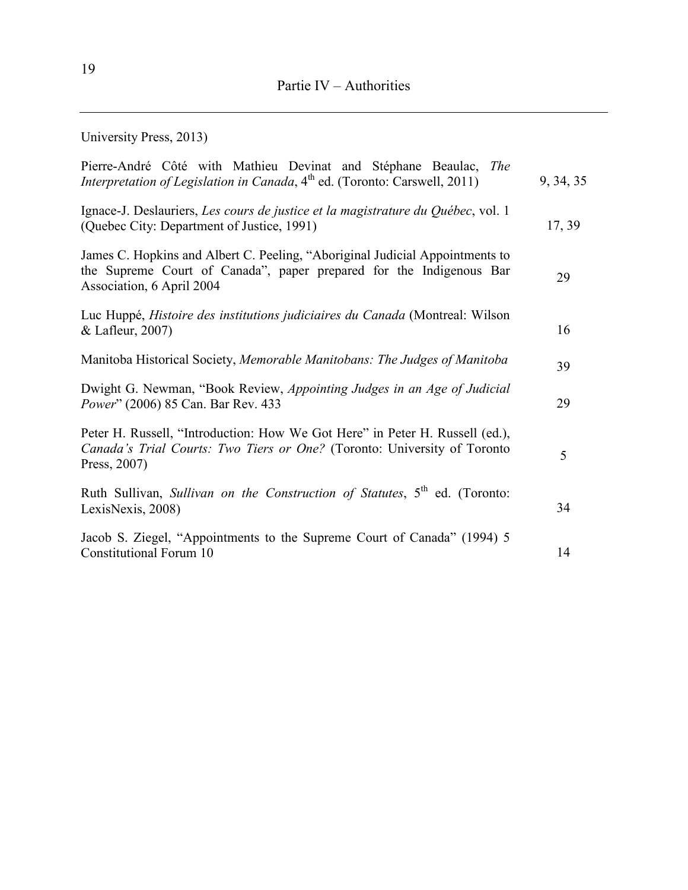University Press, 2013)

| Pierre-André Côté with Mathieu Devinat and Stéphane Beaulac, The<br><i>Interpretation of Legislation in Canada</i> , $4th$ ed. (Toronto: Carswell, 2011)                         | 9, 34, 35 |
|----------------------------------------------------------------------------------------------------------------------------------------------------------------------------------|-----------|
| Ignace-J. Deslauriers, Les cours de justice et la magistrature du Québec, vol. 1<br>(Quebec City: Department of Justice, 1991)                                                   | 17, 39    |
| James C. Hopkins and Albert C. Peeling, "Aboriginal Judicial Appointments to<br>the Supreme Court of Canada", paper prepared for the Indigenous Bar<br>Association, 6 April 2004 | 29        |
| Luc Huppé, <i>Histoire des institutions judiciaires du Canada</i> (Montreal: Wilson<br>& Lafleur, 2007)                                                                          | 16        |
| Manitoba Historical Society, Memorable Manitobans: The Judges of Manitoba                                                                                                        | 39        |
| Dwight G. Newman, "Book Review, Appointing Judges in an Age of Judicial<br>Power" (2006) 85 Can. Bar Rev. 433                                                                    | 29        |
| Peter H. Russell, "Introduction: How We Got Here" in Peter H. Russell (ed.),<br>Canada's Trial Courts: Two Tiers or One? (Toronto: University of Toronto<br>Press, 2007)         | 5         |
| Ruth Sullivan, Sullivan on the Construction of Statutes, 5 <sup>th</sup> ed. (Toronto:<br>LexisNexis, 2008)                                                                      | 34        |
| Jacob S. Ziegel, "Appointments to the Supreme Court of Canada" (1994) 5<br>Constitutional Forum 10                                                                               | 14        |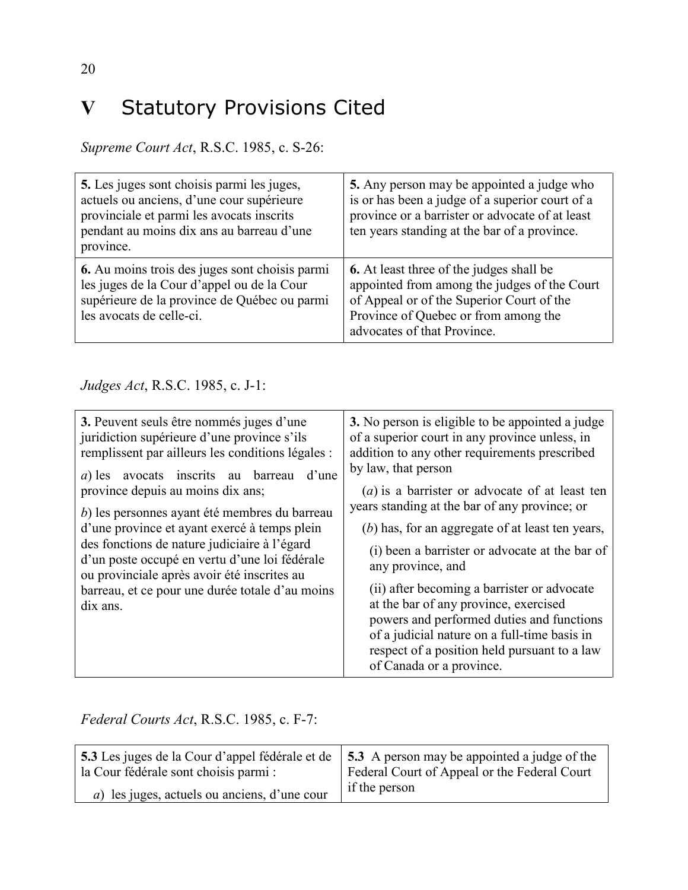# <span id="page-23-0"></span>**V** Statutory Provisions Cited

*Supreme Court Act*, R.S.C. 1985, c. S-26:

| 5. Les juges sont choisis parmi les juges,<br>actuels ou anciens, d'une cour supérieure<br>provinciale et parmi les avocats inscrits<br>pendant au moins dix ans au barreau d'une<br>province. | 5. Any person may be appointed a judge who<br>is or has been a judge of a superior court of a<br>province or a barrister or advocate of at least<br>ten years standing at the bar of a province.                    |
|------------------------------------------------------------------------------------------------------------------------------------------------------------------------------------------------|---------------------------------------------------------------------------------------------------------------------------------------------------------------------------------------------------------------------|
| <b>6.</b> Au moins trois des juges sont choisis parmi<br>les juges de la Cour d'appel ou de la Cour<br>supérieure de la province de Québec ou parmi<br>les avocats de celle-ci.                | <b>6.</b> At least three of the judges shall be<br>appointed from among the judges of the Court<br>of Appeal or of the Superior Court of the<br>Province of Quebec or from among the<br>advocates of that Province. |

### *Judges Act*, R.S.C. 1985, c. J-1:

| 3. Peuvent seuls être nommés juges d'une<br>juridiction supérieure d'une province s'ils<br>remplissent par ailleurs les conditions légales :<br>d'une<br>avocats inscrits au<br>barreau<br>$a)$ les<br>province depuis au moins dix ans;<br>b) les personnes ayant été membres du barreau<br>d'une province et ayant exercé à temps plein<br>des fonctions de nature judiciaire à l'égard<br>d'un poste occupé en vertu d'une loi fédérale | 3. No person is eligible to be appointed a judge<br>of a superior court in any province unless, in<br>addition to any other requirements prescribed<br>by law, that person<br>$(a)$ is a barrister or advocate of at least ten<br>years standing at the bar of any province; or<br>(b) has, for an aggregate of at least ten years,<br>(i) been a barrister or advocate at the bar of<br>any province, and |
|--------------------------------------------------------------------------------------------------------------------------------------------------------------------------------------------------------------------------------------------------------------------------------------------------------------------------------------------------------------------------------------------------------------------------------------------|------------------------------------------------------------------------------------------------------------------------------------------------------------------------------------------------------------------------------------------------------------------------------------------------------------------------------------------------------------------------------------------------------------|
| ou provinciale après avoir été inscrites au<br>barreau, et ce pour une durée totale d'au moins<br>dix ans.                                                                                                                                                                                                                                                                                                                                 | (ii) after becoming a barrister or advocate<br>at the bar of any province, exercised<br>powers and performed duties and functions<br>of a judicial nature on a full-time basis in<br>respect of a position held pursuant to a law<br>of Canada or a province.                                                                                                                                              |

*Federal Courts Act*, R.S.C. 1985, c. F-7:

| 5.3 Les juges de la Cour d'appel fédérale et de      | 5.3 A person may be appointed a judge of the |  |
|------------------------------------------------------|----------------------------------------------|--|
| la Cour fédérale sont choisis parmi :                | Federal Court of Appeal or the Federal Court |  |
| <i>a</i> ) les juges, actuels ou anciens, d'une cour | if the person                                |  |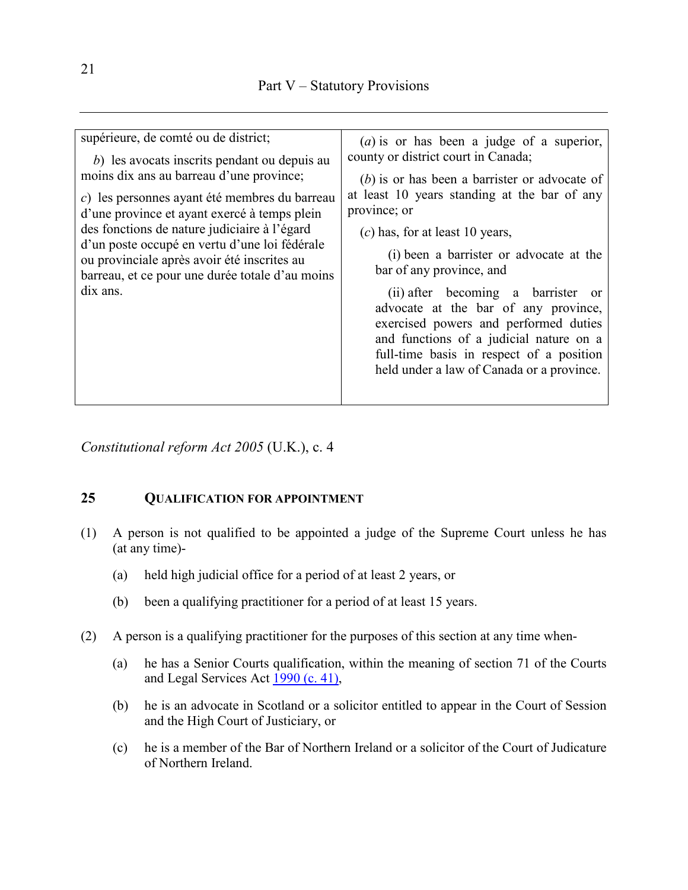| supérieure, de comté ou de district;<br>$(a)$ is or has been a judge of a superior,<br>county or district court in Canada;<br>b) les avocats inscrits pendant ou depuis au<br>moins dix ans au barreau d'une province;<br>$(b)$ is or has been a barrister or advocate of<br>at least 10 years standing at the bar of any<br>c) les personnes ayant été membres du barreau<br>province; or<br>d'une province et ayant exercé à temps plein<br>des fonctions de nature judiciaire à l'égard<br>$(c)$ has, for at least 10 years,<br>d'un poste occupé en vertu d'une loi fédérale<br>(i) been a barrister or advocate at the<br>ou provinciale après avoir été inscrites au |
|----------------------------------------------------------------------------------------------------------------------------------------------------------------------------------------------------------------------------------------------------------------------------------------------------------------------------------------------------------------------------------------------------------------------------------------------------------------------------------------------------------------------------------------------------------------------------------------------------------------------------------------------------------------------------|
|                                                                                                                                                                                                                                                                                                                                                                                                                                                                                                                                                                                                                                                                            |
|                                                                                                                                                                                                                                                                                                                                                                                                                                                                                                                                                                                                                                                                            |
|                                                                                                                                                                                                                                                                                                                                                                                                                                                                                                                                                                                                                                                                            |
|                                                                                                                                                                                                                                                                                                                                                                                                                                                                                                                                                                                                                                                                            |
|                                                                                                                                                                                                                                                                                                                                                                                                                                                                                                                                                                                                                                                                            |
|                                                                                                                                                                                                                                                                                                                                                                                                                                                                                                                                                                                                                                                                            |
|                                                                                                                                                                                                                                                                                                                                                                                                                                                                                                                                                                                                                                                                            |
| bar of any province, and<br>barreau, et ce pour une durée totale d'au moins                                                                                                                                                                                                                                                                                                                                                                                                                                                                                                                                                                                                |
| dix ans.<br>(ii) after becoming a barrister or                                                                                                                                                                                                                                                                                                                                                                                                                                                                                                                                                                                                                             |
| advocate at the bar of any province,                                                                                                                                                                                                                                                                                                                                                                                                                                                                                                                                                                                                                                       |
| exercised powers and performed duties<br>and functions of a judicial nature on a                                                                                                                                                                                                                                                                                                                                                                                                                                                                                                                                                                                           |
|                                                                                                                                                                                                                                                                                                                                                                                                                                                                                                                                                                                                                                                                            |
| full-time basis in respect of a position                                                                                                                                                                                                                                                                                                                                                                                                                                                                                                                                                                                                                                   |
| held under a law of Canada or a province.                                                                                                                                                                                                                                                                                                                                                                                                                                                                                                                                                                                                                                  |
|                                                                                                                                                                                                                                                                                                                                                                                                                                                                                                                                                                                                                                                                            |

*Constitutional reform Act 2005* (U.K.), c. 4

### **25 QUALIFICATION FOR APPOINTMENT**

- (1) A person is not qualified to be appointed a judge of the Supreme Court unless he has (at any time)-
	- (a) held high judicial office for a period of at least 2 years, or
	- (b) been a qualifying practitioner for a period of at least 15 years.
- (2) A person is a qualifying practitioner for the purposes of this section at any time when-
	- (a) he has a Senior Courts qualification, within the meaning of section 71 of the Courts and Legal Services Act [1990 \(c. 41\),](http://www.legislation.gov.uk/id/ukpga/1990/41)
	- (b) he is an advocate in Scotland or a solicitor entitled to appear in the Court of Session and the High Court of Justiciary, or
	- (c) he is a member of the Bar of Northern Ireland or a solicitor of the Court of Judicature of Northern Ireland.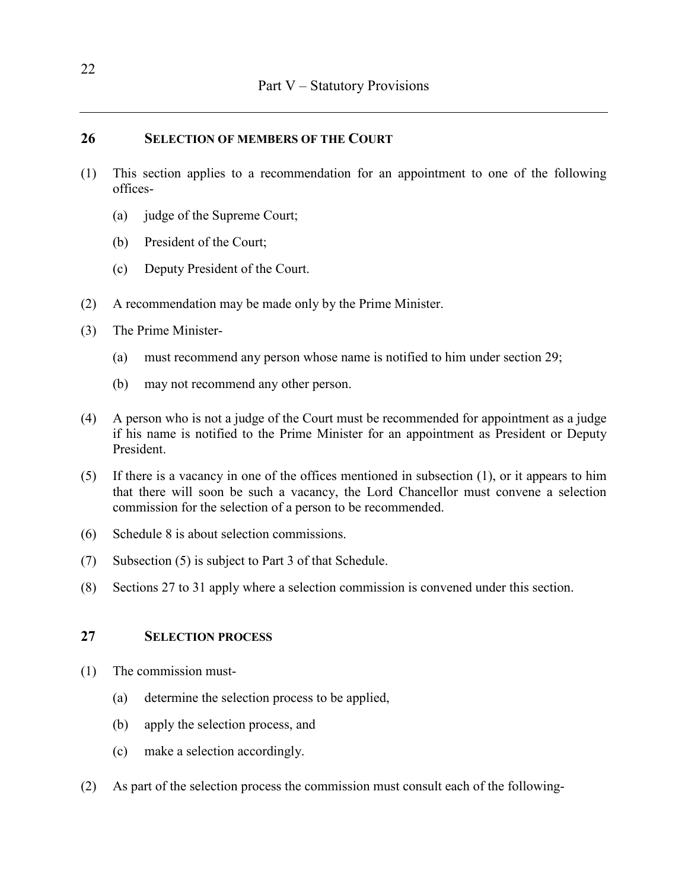### **26 SELECTION OF MEMBERS OF THE COURT**

- (1) This section applies to a recommendation for an appointment to one of the following offices-
	- (a) judge of the Supreme Court;
	- (b) President of the Court;
	- (c) Deputy President of the Court.
- (2) A recommendation may be made only by the Prime Minister.
- (3) The Prime Minister-
	- (a) must recommend any person whose name is notified to him under section 29;
	- (b) may not recommend any other person.
- (4) A person who is not a judge of the Court must be recommended for appointment as a judge if his name is notified to the Prime Minister for an appointment as President or Deputy President.
- (5) If there is a vacancy in one of the offices mentioned in subsection (1), or it appears to him that there will soon be such a vacancy, the Lord Chancellor must convene a selection commission for the selection of a person to be recommended.
- (6) Schedule 8 is about selection commissions.
- (7) Subsection (5) is subject to Part 3 of that Schedule.
- (8) Sections 27 to 31 apply where a selection commission is convened under this section.

### **27 SELECTION PROCESS**

- (1) The commission must-
	- (a) determine the selection process to be applied,
	- (b) apply the selection process, and
	- (c) make a selection accordingly.
- (2) As part of the selection process the commission must consult each of the following-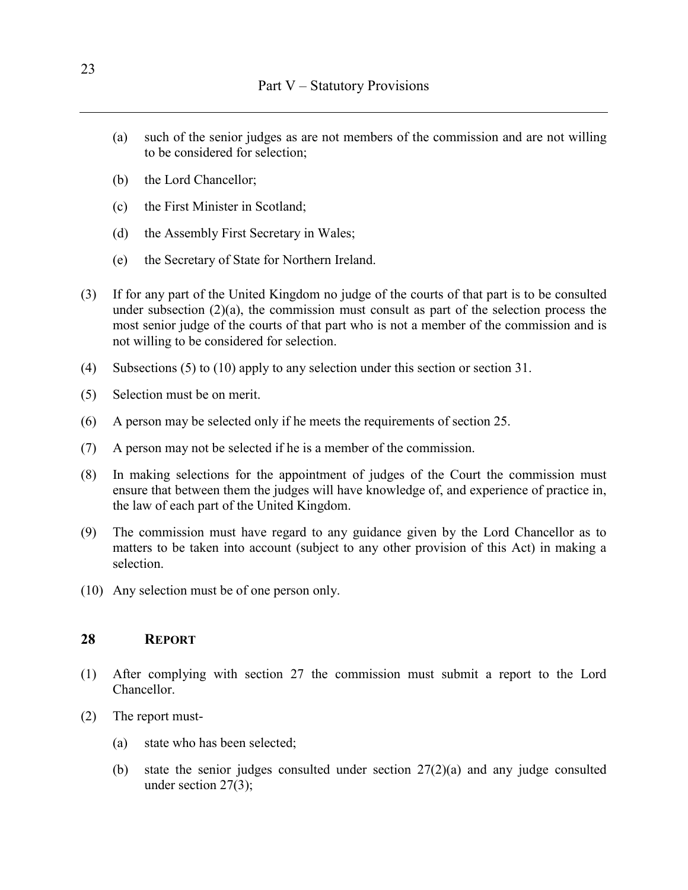- (a) such of the senior judges as are not members of the commission and are not willing to be considered for selection;
- (b) the Lord Chancellor;
- (c) the First Minister in Scotland;
- (d) the Assembly First Secretary in Wales;
- (e) the Secretary of State for Northern Ireland.
- (3) If for any part of the United Kingdom no judge of the courts of that part is to be consulted under subsection  $(2)(a)$ , the commission must consult as part of the selection process the most senior judge of the courts of that part who is not a member of the commission and is not willing to be considered for selection.
- (4) Subsections (5) to (10) apply to any selection under this section or section 31.
- (5) Selection must be on merit.
- (6) A person may be selected only if he meets the requirements of section 25.
- (7) A person may not be selected if he is a member of the commission.
- (8) In making selections for the appointment of judges of the Court the commission must ensure that between them the judges will have knowledge of, and experience of practice in, the law of each part of the United Kingdom.
- (9) The commission must have regard to any guidance given by the Lord Chancellor as to matters to be taken into account (subject to any other provision of this Act) in making a selection.
- (10) Any selection must be of one person only.

### **28 REPORT**

- (1) After complying with section 27 the commission must submit a report to the Lord Chancellor.
- (2) The report must-
	- (a) state who has been selected;
	- (b) state the senior judges consulted under section 27(2)(a) and any judge consulted under section 27(3);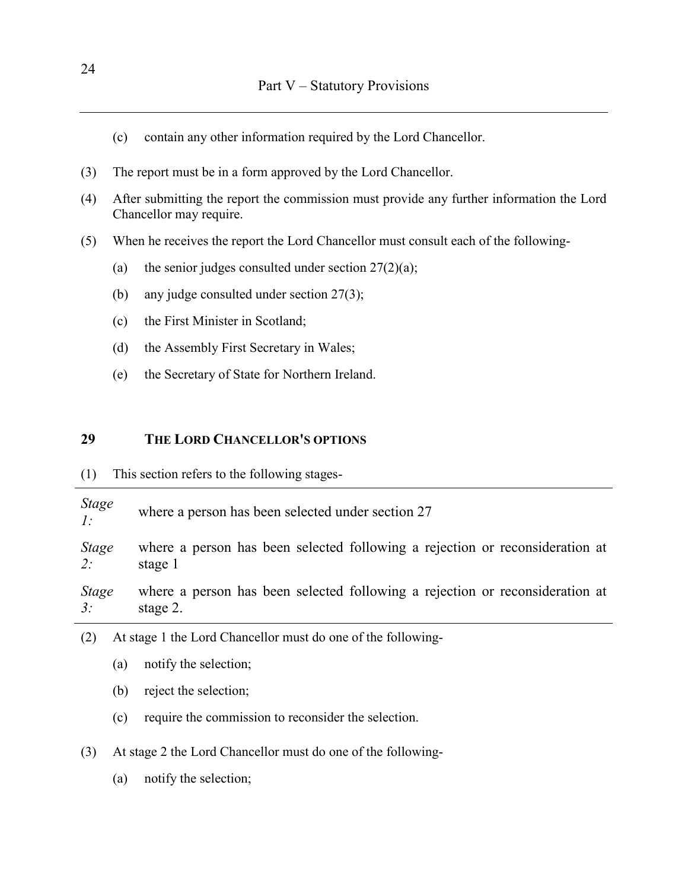- (c) contain any other information required by the Lord Chancellor.
- (3) The report must be in a form approved by the Lord Chancellor.
- (4) After submitting the report the commission must provide any further information the Lord Chancellor may require.
- (5) When he receives the report the Lord Chancellor must consult each of the following-
	- (a) the senior judges consulted under section  $27(2)(a)$ ;
	- (b) any judge consulted under section 27(3);
	- (c) the First Minister in Scotland;
	- (d) the Assembly First Secretary in Wales;
	- (e) the Secretary of State for Northern Ireland.

### **29 THE LORD CHANCELLOR'S OPTIONS**

| (1) |  |  |  |  |  | This section refers to the following stages- |  |
|-----|--|--|--|--|--|----------------------------------------------|--|
|-----|--|--|--|--|--|----------------------------------------------|--|

| <b>Stage</b><br>$\mathcal{I}$ : | where a person has been selected under section 27                            |
|---------------------------------|------------------------------------------------------------------------------|
| <b>Stage</b>                    | where a person has been selected following a rejection or reconsideration at |
| 2:                              | stage 1                                                                      |
| <b>Stage</b>                    | where a person has been selected following a rejection or reconsideration at |
| 3:                              | stage 2.                                                                     |
|                                 |                                                                              |

- (2) At stage 1 the Lord Chancellor must do one of the following-
	- (a) notify the selection;
	- (b) reject the selection;
	- (c) require the commission to reconsider the selection.

(3) At stage 2 the Lord Chancellor must do one of the following-

(a) notify the selection;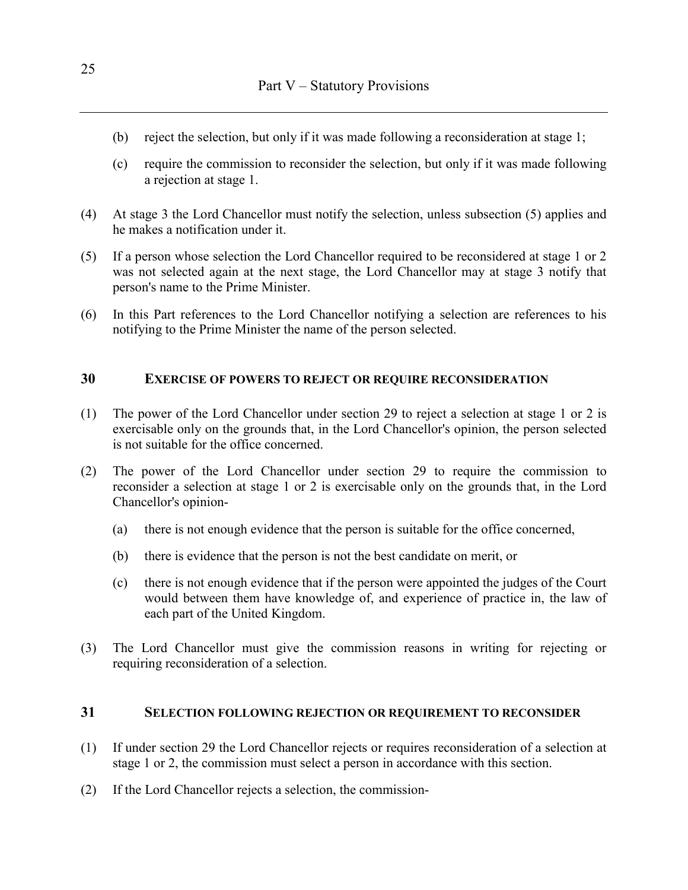- (b) reject the selection, but only if it was made following a reconsideration at stage 1;
- (c) require the commission to reconsider the selection, but only if it was made following a rejection at stage 1.
- (4) At stage 3 the Lord Chancellor must notify the selection, unless subsection (5) applies and he makes a notification under it.
- (5) If a person whose selection the Lord Chancellor required to be reconsidered at stage 1 or 2 was not selected again at the next stage, the Lord Chancellor may at stage 3 notify that person's name to the Prime Minister.
- (6) In this Part references to the Lord Chancellor notifying a selection are references to his notifying to the Prime Minister the name of the person selected.

### **30 EXERCISE OF POWERS TO REJECT OR REQUIRE RECONSIDERATION**

- (1) The power of the Lord Chancellor under section 29 to reject a selection at stage 1 or 2 is exercisable only on the grounds that, in the Lord Chancellor's opinion, the person selected is not suitable for the office concerned.
- (2) The power of the Lord Chancellor under section 29 to require the commission to reconsider a selection at stage 1 or 2 is exercisable only on the grounds that, in the Lord Chancellor's opinion-
	- (a) there is not enough evidence that the person is suitable for the office concerned,
	- (b) there is evidence that the person is not the best candidate on merit, or
	- (c) there is not enough evidence that if the person were appointed the judges of the Court would between them have knowledge of, and experience of practice in, the law of each part of the United Kingdom.
- (3) The Lord Chancellor must give the commission reasons in writing for rejecting or requiring reconsideration of a selection.

### **31 SELECTION FOLLOWING REJECTION OR REQUIREMENT TO RECONSIDER**

- (1) If under section 29 the Lord Chancellor rejects or requires reconsideration of a selection at stage 1 or 2, the commission must select a person in accordance with this section.
- (2) If the Lord Chancellor rejects a selection, the commission-